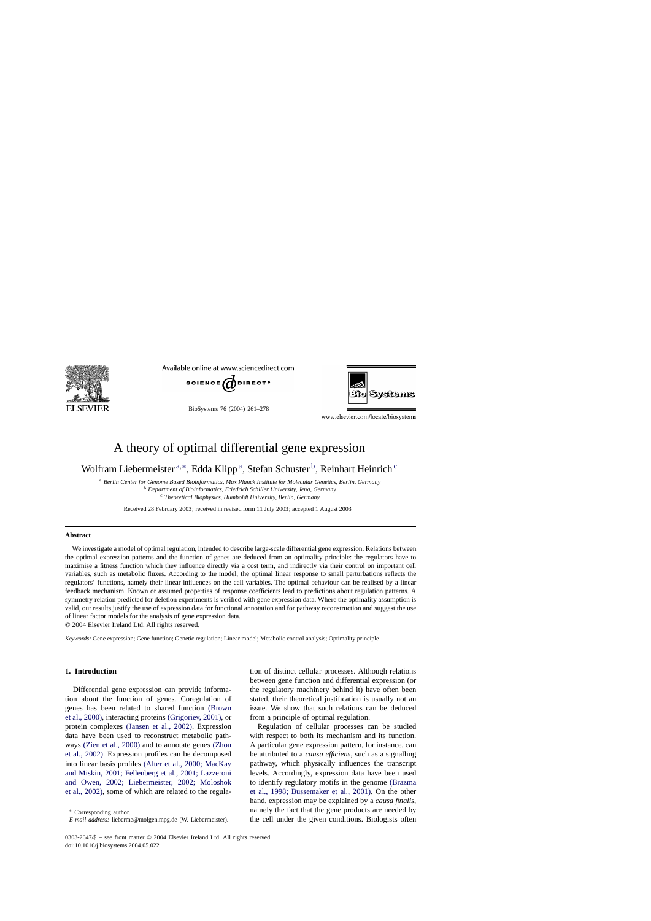

Available online at www.sciencedirect.com



BioSystems 76 (2004) 261–278



www.elsevier.com/locate/biosystems

# A theory of optimal differential gene expression

Wolfram Liebermeister  $a^*$ , Edda Klipp<sup>a</sup>, Stefan Schuster<sup>b</sup>, Reinhart Heinrich<sup>c</sup>

<sup>a</sup> *Berlin Center for Genome Based Bioinformatics, Max Planck Institute for Molecular Genetics, Berlin, Germany* <sup>b</sup> *Department of Bioinformatics, Friedrich Schiller University, Jena, Germany* <sup>c</sup> *Theoretical Biophysics, Humboldt University, Berlin, Germany*

Received 28 February 2003; received in revised form 11 July 2003; accepted 1 August 2003

# **Abstract**

We investigate a model of optimal regulation, intended to describe large-scale differential gene expression. Relations between the optimal expression patterns and the function of genes are deduced from an optimality principle: the regulators have to maximise a fitness function which they influence directly via a cost term, and indirectly via their control on important cell variables, such as metabolic fluxes. According to the model, the optimal linear response to small perturbations reflects the regulators' functions, namely their linear influences on the cell variables. The optimal behaviour can be realised by a linear feedback mechanism. Known or assumed properties of response coefficients lead to predictions about regulation patterns. A symmetry relation predicted for deletion experiments is verified with gene expression data. Where the optimality assumption is valid, our results justify the use of expression data for functional annotation and for pathway reconstruction and suggest the use of linear factor models for the analysis of gene expression data.

© 2004 Elsevier Ireland Ltd. All rights reserved.

*Keywords:* Gene expression; Gene function; Genetic regulation; Linear model; Metabolic control analysis; Optimality principle

# **1. Introduction**

Differential gene expression can provide information about the function of genes. Coregulation of genes has been related to shared function [\(Brown](#page-16-0) [et al., 2000\), i](#page-16-0)nteracting proteins [\(Grigoriev, 2001\), o](#page-16-0)r protein complexes [\(Jansen et al., 2002\).](#page-16-0) Expression data have been used to reconstruct metabolic pathways [\(Zien et al., 2000\)](#page-17-0) and to annotate genes [\(Zhou](#page-17-0) [et al., 2002\).](#page-17-0) Expression profiles can be decomposed into linear basis profiles [\(Alter et al., 2000; MacKay](#page-16-0) [and Miskin, 2001; Fellenberg et al., 2001; Lazzeroni](#page-16-0) [and Owen, 2002; Liebermeister, 2002; Moloshok](#page-16-0) [et al., 2002\),](#page-16-0) some of which are related to the regula-

Corresponding author. *E-mail address:* lieberme@molgen.mpg.de (W. Liebermeister). tion of distinct cellular processes. Although relations between gene function and differential expression (or the regulatory machinery behind it) have often been stated, their theoretical justification is usually not an issue. We show that such relations can be deduced from a principle of optimal regulation.

Regulation of cellular processes can be studied with respect to both its mechanism and its function. A particular gene expression pattern, for instance, can be attributed to a *causa efficiens*, such as a signalling pathway, which physically influences the transcript levels. Accordingly, expression data have been used to identify regulatory motifs in the genome [\(Brazma](#page-16-0) [et al., 1998; Bussemaker et al., 2001\).](#page-16-0) On the other hand, expression may be explained by a *causa finalis*, namely the fact that the gene products are needed by the cell under the given conditions. Biologists often

<sup>0303-2647/\$ –</sup> see front matter © 2004 Elsevier Ireland Ltd. All rights reserved. doi:10.1016/j.biosystems.2004.05.022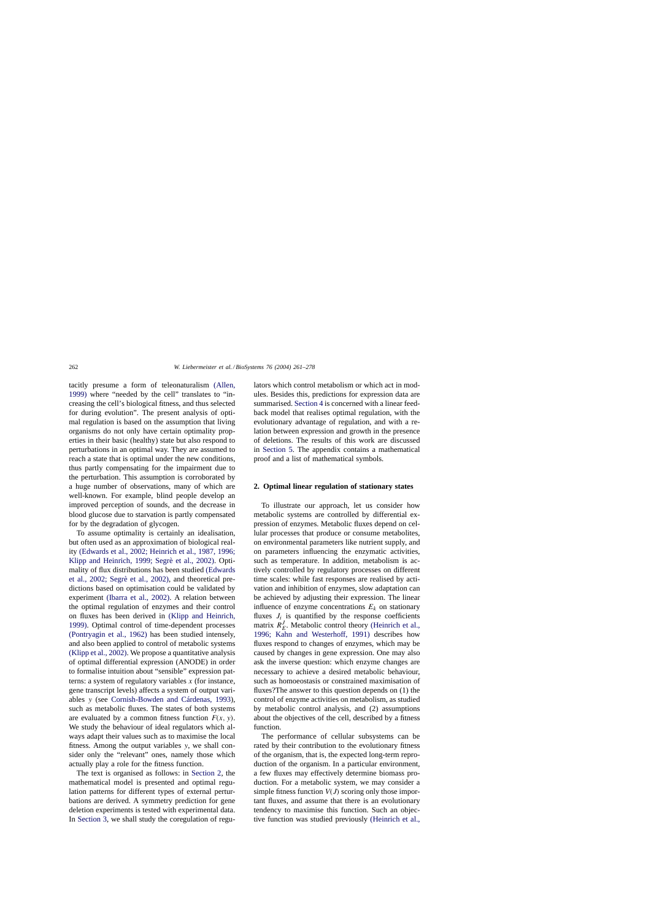tacitly presume a form of teleonaturalism [\(Allen,](#page-16-0) [1999\)](#page-16-0) where "needed by the cell" translates to "increasing the cell's biological fitness, and thus selected for during evolution". The present analysis of optimal regulation is based on the assumption that living organisms do not only have certain optimality properties in their basic (healthy) state but also respond to perturbations in an optimal way. They are assumed to reach a state that is optimal under the new conditions, thus partly compensating for the impairment due to the perturbation. This assumption is corroborated by a huge number of observations, many of which are well-known. For example, blind people develop an improved perception of sounds, and the decrease in blood glucose due to starvation is partly compensated for by the degradation of glycogen.

To assume optimality is certainly an idealisation, but often used as an approximation of biological reality [\(Edwards et al., 2002; Heinrich et al., 1987, 1996;](#page-16-0) [Klipp and Heinrich, 1999; Segrè et al., 2002\)](#page-16-0). Optimality of flux distributions has been studied [\(Edwards](#page-16-0) [et al., 2002; Segrè et al., 2002\),](#page-16-0) and theoretical predictions based on optimisation could be validated by experiment [\(Ibarra et al., 2002\).](#page-16-0) A relation between the optimal regulation of enzymes and their control on fluxes has been derived in [\(Klipp and Heinrich,](#page-16-0) [1999\).](#page-16-0) Optimal control of time-dependent processes [\(Pontryagin et al., 1962\)](#page-17-0) has been studied intensely, and also been applied to control of metabolic systems [\(Klipp et al., 2002\). W](#page-16-0)e propose a quantitative analysis of optimal differential expression (ANODE) in order to formalise intuition about "sensible" expression patterns: a system of regulatory variables  $x$  (for instance, gene transcript levels) affects a system of output variables y (see [Cornish-Bowden and Cárdenas, 1993\)](#page-16-0), such as metabolic fluxes. The states of both systems are evaluated by a common fitness function  $F(x, y)$ . We study the behaviour of ideal regulators which always adapt their values such as to maximise the local fitness. Among the output variables y, we shall consider only the "relevant" ones, namely those which actually play a role for the fitness function.

The text is organised as follows: in Section 2, the mathematical model is presented and optimal regulation patterns for different types of external perturbations are derived. A symmetry prediction for gene deletion experiments is tested with experimental data. In [Section 3,](#page-8-0) we shall study the coregulation of regulators which control metabolism or which act in modules. Besides this, predictions for expression data are summarised. [Section 4](#page-12-0) is concerned with a linear feedback model that realises optimal regulation, with the evolutionary advantage of regulation, and with a relation between expression and growth in the presence of deletions. The results of this work are discussed in [Section 5.](#page-13-0) The appendix contains a mathematical proof and a list of mathematical symbols.

## **2. Optimal linear regulation of stationary states**

To illustrate our approach, let us consider how metabolic systems are controlled by differential expression of enzymes. Metabolic fluxes depend on cellular processes that produce or consume metabolites, on environmental parameters like nutrient supply, and on parameters influencing the enzymatic activities, such as temperature. In addition, metabolism is actively controlled by regulatory processes on different time scales: while fast responses are realised by activation and inhibition of enzymes, slow adaptation can be achieved by adjusting their expression. The linear influence of enzyme concentrations  $E_k$  on stationary fluxes  $J_i$  is quantified by the response coefficients matrix  $R_E^J$ . Metabolic control theory [\(Heinrich et al.,](#page-16-0) [1996; Kahn and Westerhoff, 1991](#page-16-0)) describes how fluxes respond to changes of enzymes, which may be caused by changes in gene expression. One may also ask the inverse question: which enzyme changes are necessary to achieve a desired metabolic behaviour, such as homoeostasis or constrained maximisation of fluxes?The answer to this question depends on (1) the control of enzyme activities on metabolism, as studied by metabolic control analysis, and (2) assumptions about the objectives of the cell, described by a fitness function.

The performance of cellular subsystems can be rated by their contribution to the evolutionary fitness of the organism, that is, the expected long-term reproduction of the organism. In a particular environment, a few fluxes may effectively determine biomass production. For a metabolic system, we may consider a simple fitness function  $V(J)$  scoring only those important fluxes, and assume that there is an evolutionary tendency to maximise this function. Such an objective function was studied previously [\(Heinrich et al.,](#page-16-0)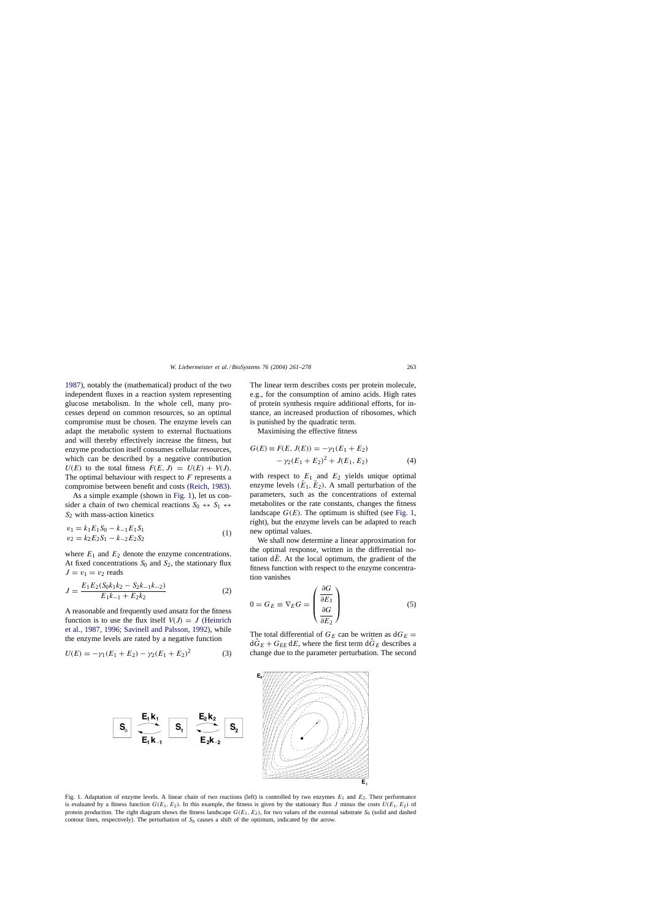<span id="page-2-0"></span>[1987\),](#page-16-0) notably the (mathematical) product of the two independent fluxes in a reaction system representing glucose metabolism. In the whole cell, many processes depend on common resources, so an optimal compromise must be chosen. The enzyme levels can adapt the metabolic system to external fluctuations and will thereby effectively increase the fitness, but enzyme production itself consumes cellular resources, which can be described by a negative contribution  $U(E)$  to the total fitness  $F(E, J) = U(E) + V(J)$ . The optimal behaviour with respect to  $F$  represents a compromise between benefit and costs [\(Reich, 1983\).](#page-17-0)

As a simple example (shown in Fig. 1), let us consider a chain of two chemical reactions  $S_0 \leftrightarrow S_1 \leftrightarrow$  $S_2$  with mass-action kinetics

$$
v_1 = k_1 E_1 S_0 - k_{-1} E_1 S_1 \n v_2 = k_2 E_2 S_1 - k_{-2} E_2 S_2
$$
\n(1)

where  $E_1$  and  $E_2$  denote the enzyme concentrations. At fixed concentrations  $S_0$  and  $S_2$ , the stationary flux  $J = v_1 = v_2$  reads

$$
J = \frac{E_1 E_2 (S_0 k_1 k_2 - S_2 k_{-1} k_{-2})}{E_1 k_{-1} + E_2 k_2} \tag{2}
$$

A reasonable and frequently used ansatz for the fitness function is to use the flux itself  $V(J) = J$  [\(Heinrich](#page-16-0) [et al., 1987, 1996; Savinell and Palsson, 1992\), w](#page-16-0)hile the enzyme levels are rated by a negative function

$$
U(E) = -\gamma_1 (E_1 + E_2) - \gamma_2 (E_1 + E_2)^2 \tag{3}
$$

 $\mathbf{S}_{0}$ 

 $S<sub>1</sub>$ 

The linear term describes costs per protein molecule, e.g., for the consumption of amino acids. High rates of protein synthesis require additional efforts, for instance, an increased production of ribosomes, which is punished by the quadratic term.

Maximising the effective fitness

$$
G(E) \equiv F(E, J(E)) = -\gamma_1 (E_1 + E_2)
$$
  
-  $\gamma_2 (E_1 + E_2)^2 + J(E_1, E_2)$  (4)

with respect to  $E_1$  and  $E_2$  yields unique optimal enzyme levels  $(\bar{E}_1, \bar{E}_2)$ . A small perturbation of the parameters, such as the concentrations of external metabolites or the rate constants, changes the fitness landscape  $G(E)$ . The optimum is shifted (see Fig. 1, right), but the enzyme levels can be adapted to reach new optimal values.

We shall now determine a linear approximation for the optimal response, written in the differential notation  $dE$ . At the local optimum, the gradient of the fitness function with respect to the enzyme concentration vanishes

$$
0 = G_E \equiv \nabla_E G = \begin{pmatrix} \frac{\partial G}{\partial E_1} \\ \frac{\partial G}{\partial E_2} \end{pmatrix}
$$
 (5)

The total differential of  $G_E$  can be written as  $dG_E$  =  $dG_E + G_{EE} dE$ , where the first term  $dG_E$  describes a change due to the parameter perturbation. The second



Fig. 1. Adaptation of enzyme levels. A linear chain of two reactions (left) is controlled by two enzymes  $E_1$  and  $E_2$ . Their performance is evaluated by a fitness function  $G(E_1, E_2)$ . In this example, the fitness is given by the stationary flux J minus the costs  $U(E_1, E_2)$  of protein production. The right diagram shows the fitness landscape  $G(E_1, E_2)$ , for two values of the external substrate  $S_0$  (solid and dashed contour lines, respectively). The perturbation of  $S_0$  causes a shift of the optimum, indicated by the arrow.

 $S<sub>2</sub>$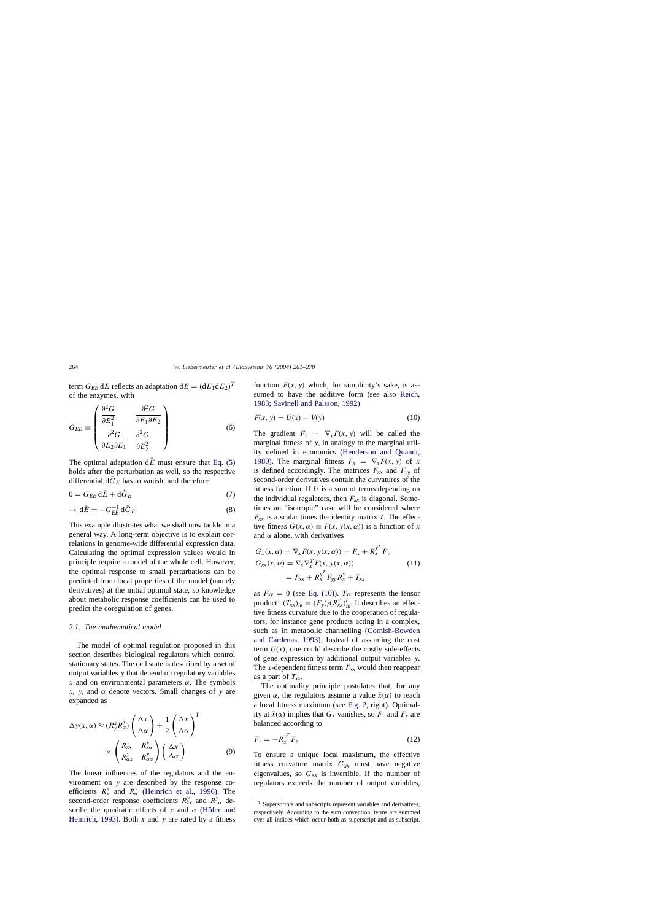<span id="page-3-0"></span>term  $G_{EE} dE$  reflects an adaptation  $dE = (dE_1 dE_2)^T$ of the enzymes, with

$$
G_{EE} \equiv \begin{pmatrix} \frac{\partial^2 G}{\partial E_1^2} & \frac{\partial^2 G}{\partial E_1 \partial E_2} \\ \frac{\partial^2 G}{\partial E_2 \partial E_1} & \frac{\partial^2 G}{\partial E_2^2} \end{pmatrix} \tag{6}
$$

The optimal adaptation  $d\bar{E}$  must ensure that [Eq. \(5\)](#page-2-0) holds after the perturbation as well, so the respective differential  $dG<sub>E</sub>$  has to vanish, and therefore

$$
0 = G_{EE} d\bar{E} + d\hat{G}_E \tag{7}
$$

$$
\to d\bar{E} = -G_{EE}^{-1} d\hat{G}_E
$$
\n(8)

This example illustrates what we shall now tackle in a general way. A long-term objective is to explain correlations in genome-wide differential expression data. Calculating the optimal expression values would in principle require a model of the whole cell. However, the optimal response to small perturbations can be predicted from local properties of the model (namely derivatives) at the initial optimal state, so knowledge about metabolic response coefficients can be used to predict the coregulation of genes.

# *2.1. The mathematical model*

The model of optimal regulation proposed in this section describes biological regulators which control stationary states. The cell state is described by a set of output variables y that depend on regulatory variables x and on environmental parameters  $\alpha$ . The symbols  $x$ , y, and  $\alpha$  denote vectors. Small changes of y are expanded as

$$
\Delta y(x, \alpha) \approx (R_y^x R_\alpha^y) \left(\frac{\Delta x}{\Delta \alpha}\right) + \frac{1}{2} \left(\frac{\Delta x}{\Delta \alpha}\right)^T
$$

$$
\times \left(\frac{R_{xx}^y}{R_{\alpha x}^y} - \frac{R_{xx}^y}{R_{\alpha \alpha}^y} \right) \left(\frac{\Delta x}{\Delta \alpha}\right) \tag{9}
$$

The linear influences of the regulators and the environment on y are described by the response coefficients  $R_x^y$  and  $R_\alpha^y$  [\(Heinrich et al., 1996\)](#page-16-0). The second-order response coefficients  $R_{xx}^{y}$  and  $R_{x\alpha}^{y}$  describe the quadratic effects of x and  $\alpha$  [\(Höfer and](#page-16-0) [Heinrich, 1993\).](#page-16-0) Both  $x$  and  $y$  are rated by a fitness function  $F(x, y)$  which, for simplicity's sake, is assumed to have the additive form (see also [Reich,](#page-17-0) [1983; Savinell and Palsson, 1992\)](#page-17-0)

$$
F(x, y) = U(x) + V(y)
$$
 (10)

The gradient  $F_y = \nabla_y F(x, y)$  will be called the marginal fitness of y, in analogy to the marginal utility defined in economics [\(Henderson and Quandt,](#page-16-0) [1980\).](#page-16-0) The marginal fitness  $F_x = \nabla_x F(x, y)$  of x is defined accordingly. The matrices  $F_{xx}$  and  $F_{yy}$  of second-order derivatives contain the curvatures of the fitness function. If  $U$  is a sum of terms depending on the individual regulators, then  $F_{xx}$  is diagonal. Sometimes an "isotropic" case will be considered where  $F_{xx}$  is a scalar times the identity matrix I. The effective fitness  $G(x, \alpha) \equiv F(x, y(x, \alpha))$  is a function of x and  $\alpha$  alone, with derivatives

$$
G_x(x, \alpha) = \nabla_x F(x, y(x, \alpha)) = F_x + R_x^{y^T} F_y
$$
  
\n
$$
G_{xx}(x, \alpha) = \nabla_x \nabla_x^T F(x, y(x, \alpha))
$$
  
\n
$$
= F_{xx} + R_x^{y^T} F_{yy} R_x^{y} + T_{xx}
$$
\n(11)

as  $F_{xy} = 0$  (see Eq. (10)).  $T_{xx}$  represents the tensor product<sup>1</sup>  $(T_{xx})_{ik} \equiv (F_y)_l (R_{xx}^y)_k^l$ . It describes an effective fitness curvature due to the cooperation of regulators, for instance gene products acting in a complex, such as in metabolic channelling [\(Cornish-Bowden](#page-16-0) [and Cárdenas, 1993\).](#page-16-0) Instead of assuming the cost term  $U(x)$ , one could describe the costly side-effects of gene expression by additional output variables y. The x-dependent fitness term  $F_{xx}$  would then reappear as a part of  $T_{xx}$ .

The optimality principle postulates that, for any given  $\alpha$ , the regulators assume a value  $\bar{x}(\alpha)$  to reach a local fitness maximum (see [Fig. 2,](#page-4-0) right). Optimality at  $\bar{x}(\alpha)$  implies that  $G_x$  vanishes, so  $F_x$  and  $F_y$  are balanced according to

$$
F_x = -R_x^{y^T} F_y \tag{12}
$$

To ensure a unique local maximum, the effective fitness curvature matrix G*xx* must have negative eigenvalues, so  $G_{xx}$  is invertible. If the number of regulators exceeds the number of output variables,

Superscripts and subscripts represent variables and derivatives, respectively. According to the sum convention, terms are summed over all indices which occur both as superscript and as subscript.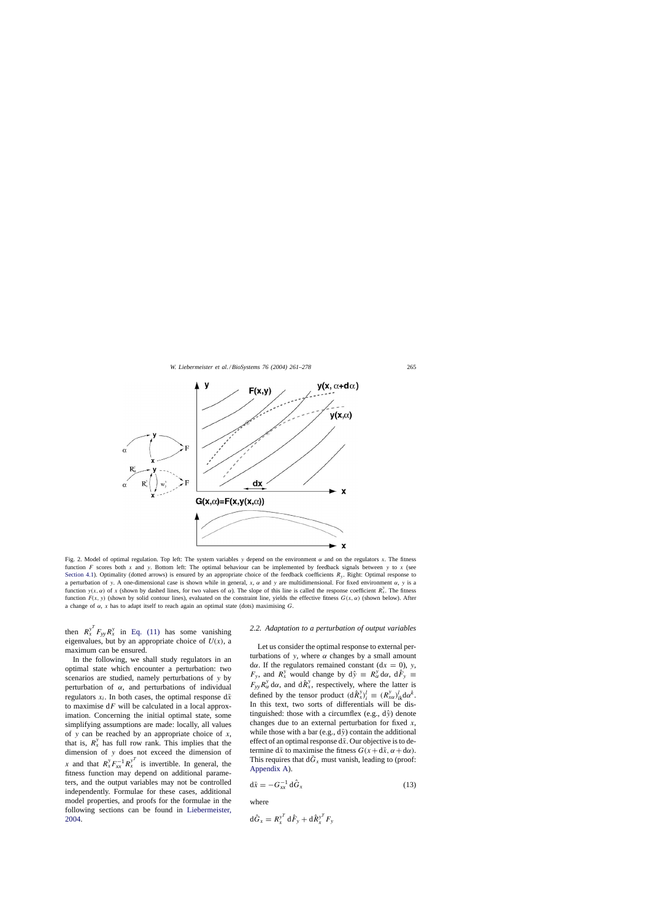<span id="page-4-0"></span>

Fig. 2. Model of optimal regulation. Top left: The system variables y depend on the environment  $\alpha$  and on the regulators x. The fitness function F scores both x and y. Bottom left: The optimal behaviour can be implemented by feedback signals between y to x (see [Section 4.1\).](#page-12-0) Optimality (dotted arrows) is ensured by an appropriate choice of the feedback coefficients  $R_y$ . Right: Optimal response to a perturbation of y. A one-dimensional case is shown while in general, x,  $\alpha$  and y are multidimensional. For fixed environment  $\alpha$ , y is a function  $y(x, \alpha)$  of x (shown by dashed lines, for two values of  $\alpha$ ). The slope of this line is called the response coefficient  $R_x^y$ . The fitness function  $F(x, y)$  (shown by solid contour lines), evaluated on the constraint line, yields the effective fitness  $G(x, \alpha)$  (shown below). After a change of  $\alpha$ , x has to adapt itself to reach again an optimal state (dots) maximising G.

then  $R_x^{y^T} F_{yy} R_x^y$  in [Eq. \(11\)](#page-3-0) has some vanishing eigenvalues, but by an appropriate choice of  $U(x)$ , a maximum can be ensured.

In the following, we shall study regulators in an optimal state which encounter a perturbation: two scenarios are studied, namely perturbations of y by perturbation of  $\alpha$ , and perturbations of individual regulators  $x_i$ . In both cases, the optimal response  $d\bar{x}$ to maximise  $dF$  will be calculated in a local approximation. Concerning the initial optimal state, some simplifying assumptions are made: locally, all values of y can be reached by an appropriate choice of  $x$ , that is,  $R_x^y$  has full row rank. This implies that the dimension of y does not exceed the dimension of x and that  $R_x^y F_{xx}^{-1} R_x^{y^T}$  is invertible. In general, the fitness function may depend on additional parameters, and the output variables may not be controlled independently. Formulae for these cases, additional model properties, and proofs for the formulae in the following sections can be found in [Liebermeister,](#page-16-0) [2004.](#page-16-0)

#### *2.2. Adaptation to a perturbation of output variables*

Let us consider the optimal response to external perturbations of y, where  $\alpha$  changes by a small amount  $d\alpha$ . If the regulators remained constant  $(dx = 0)$ , y,  $F_y$ , and  $R_x^y$  would change by  $d\hat{y} = R_\alpha^y d\alpha$ ,  $d\hat{F}_y =$  $F_{yy}R_{\alpha}^{\gamma}$  d $\alpha$ , and d $\hat{R}_{x}^{\gamma}$ , respectively, where the latter is defined by the tensor product  $(d\hat{R}_x^y)_i^l \equiv (R_{xa}^y)_i^l d\alpha^k$ . In this text, two sorts of differentials will be distinguished: those with a circumflex (e.g.,  $d\hat{y}$ ) denote changes due to an external perturbation for fixed  $x$ , while those with a bar (e.g.,  $d\bar{y}$ ) contain the additional effect of an optimal response  $d\bar{x}$ . Our objective is to determine  $d\bar{x}$  to maximise the fitness  $G(x+d\bar{x}, \alpha + d\alpha)$ . This requires that  $d\bar{G}_x$  must vanish, leading to (proof: [Appendix A\).](#page-15-0)

$$
\mathrm{d}\bar{x} = -G_{xx}^{-1} \,\mathrm{d}\hat{G}_x \tag{13}
$$

where

$$
\mathrm{d}\hat{G}_x = R_x^{y^T} \,\mathrm{d}\hat{F}_y + \mathrm{d}\hat{R}_x^{y^T} F_y
$$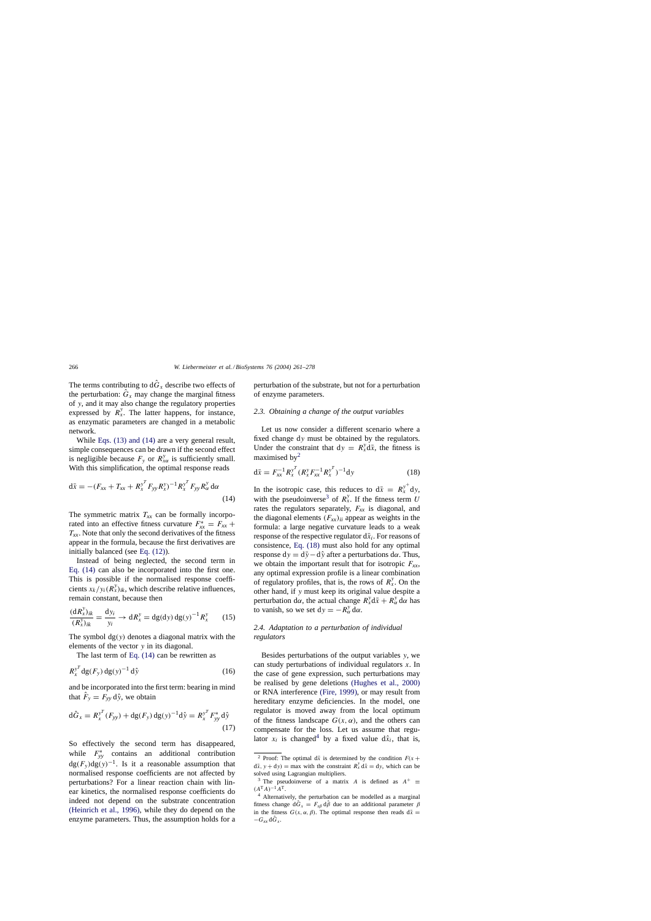<span id="page-5-0"></span>The terms contributing to  $d\hat{G}_x$  describe two effects of the perturbation:  $\hat{G}_x$  may change the marginal fitness of y, and it may also change the regulatory properties expressed by  $R_x^y$ . The latter happens, for instance, as enzymatic parameters are changed in a metabolic network.

While [Eqs. \(13\) and \(14\)](#page-4-0) are a very general result, simple consequences can be drawn if the second effect is negligible because  $F_y$  or  $R_{x\alpha}^y$  is sufficiently small. With this simplification, the optimal response reads

$$
d\bar{x} = -(F_{xx} + T_{xx} + R_x^{y^T} F_{yy} R_x^y)^{-1} R_x^{y^T} F_{yy} R_\alpha^y d\alpha
$$
\n(14)

The symmetric matrix  $T_{xx}$  can be formally incorporated into an effective fitness curvature  $F_{xx}^* = F_{xx} +$  $T_{xx}$ . Note that only the second derivatives of the fitness appear in the formula, because the first derivatives are initially balanced (see [Eq. \(12\)\).](#page-3-0)

Instead of being neglected, the second term in Eq. (14) can also be incorporated into the first one. This is possible if the normalised response coefficients  $x_k/y_i(R_x^y)_{ik}$ , which describe relative influences, remain constant, because then

$$
\frac{(\mathrm{d}R_{x}^{y})_{ik}}{(R_{x}^{y})_{ik}} = \frac{\mathrm{d}y_{i}}{y_{i}} \to \mathrm{d}R_{x}^{y} = \mathrm{dg}(\mathrm{d}y)\,\mathrm{dg}(y)^{-1}R_{x}^{y} \qquad (15)
$$

The symbol  $dg(y)$  denotes a diagonal matrix with the elements of the vector y in its diagonal.

The last term of Eq. (14) can be rewritten as

$$
R_x^{y^T} \mathrm{dg}(F_y) \mathrm{dg}(y)^{-1} \mathrm{d}\hat{y} \tag{16}
$$

and be incorporated into the first term: bearing in mind that  $\hat{F}_y = F_{yy} d\hat{y}$ , we obtain

$$
d\hat{G}_x = R_x^{y^T} (F_{yy}) + dg(F_y) dg(y)^{-1} d\hat{y} = R_x^{y^T} F_{yy}^* d\hat{y}
$$
\n(17)

So effectively the second term has disappeared, while  $F_{yy}^*$  contains an additional contribution  $dg(F_y)dg(y)^{-1}$ . Is it a reasonable assumption that normalised response coefficients are not affected by perturbations? For a linear reaction chain with linear kinetics, the normalised response coefficients do indeed not depend on the substrate concentration [\(Heinrich et al., 1996\),](#page-16-0) while they do depend on the enzyme parameters. Thus, the assumption holds for a perturbation of the substrate, but not for a perturbation of enzyme parameters.

# *2.3. Obtaining a change of the output variables*

Let us now consider a different scenario where a fixed change dy must be obtained by the regulators. Under the constraint that  $dy = R_x^y d\bar{x}$ , the fitness is maximised  $bv^2$ 

$$
d\bar{x} = F_{xx}^{-1} R_x^{y^T} (R_x^y F_{xx}^{-1} R_x^{y^T})^{-1} dy
$$
 (18)

In the isotropic case, this reduces to  $d\bar{x} = R_x^{y^+} dy$ , with the pseudoinverse<sup>3</sup> of  $R_x^y$ . If the fitness term U rates the regulators separately, F*xx* is diagonal, and the diagonal elements  $(F_{xx})_{ii}$  appear as weights in the formula: a large negative curvature leads to a weak response of the respective regulator  $d\bar{x}_i$ . For reasons of consistence, Eq. (18) must also hold for any optimal response  $dy = d\bar{y} - d\hat{y}$  after a perturbations d $\alpha$ . Thus, we obtain the important result that for isotropic  $F_{xx}$ , any optimal expression profile is a linear combination of regulatory profiles, that is, the rows of  $R_x^y$ . On the other hand, if y must keep its original value despite a perturbation d $\alpha$ , the actual change  $R_x^y d\bar{x} + R_\alpha^y d\alpha$  has to vanish, so we set  $dy = -R^y_\alpha d\alpha$ .

# *2.4. Adaptation to a perturbation of individual regulators*

Besides perturbations of the output variables y, we can study perturbations of individual regulators x. In the case of gene expression, such perturbations may be realised by gene deletions [\(Hughes et al., 2000\)](#page-16-0) or RNA interference [\(Fire, 1999\),](#page-16-0) or may result from hereditary enzyme deficiencies. In the model, one regulator is moved away from the local optimum of the fitness landscape  $G(x, \alpha)$ , and the others can compensate for the loss. Let us assume that regulator  $x_i$  is changed<sup>4</sup> by a fixed value d $\hat{x}_i$ , that is,

<sup>&</sup>lt;sup>2</sup> Proof: The optimal  $d\bar{x}$  is determined by the condition  $F(x +$  $d\bar{x}$ ,  $y + dy$ ) = max with the constraint  $R_x^y d\bar{x} = dy$ , which can be solved using Lagrangian multipliers.

<sup>&</sup>lt;sup>3</sup> The pseudoinverse of a matrix A is defined as  $A^+ \equiv (A^T A)^{-1} A^T$ .

<sup>4</sup> Alternatively, the perturbation can be modelled as a marginal fitness change  $d\hat{G}_x = F_{x\beta} d\hat{\beta}$  due to an additional parameter  $\beta$ in the fitness  $G(x, \alpha, \beta)$ . The optimal response then reads  $d\bar{x} =$  $-G_{xx} dG_x$ .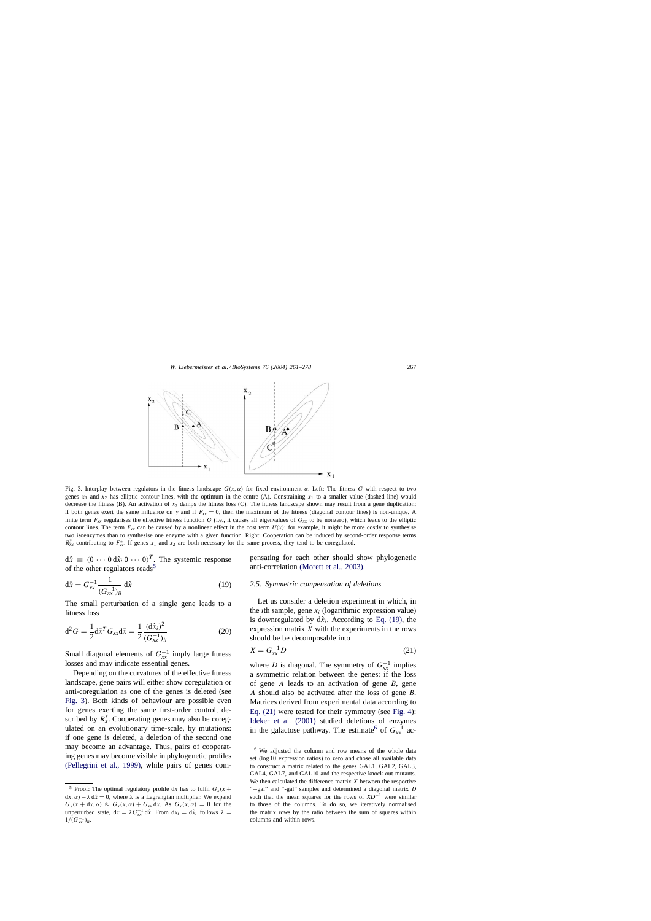<span id="page-6-0"></span>

Fig. 3. Interplay between regulators in the fitness landscape  $G(x, \alpha)$  for fixed environment  $\alpha$ . Left: The fitness G with respect to two genes  $x_1$  and  $x_2$  has elliptic contour lines, with the optimum in the centre (A). Constraining  $x_1$  to a smaller value (dashed line) would decrease the fitness (B). An activation of  $x_2$  damps the fitness loss (C). The fitness landscape shown may result from a gene duplication: if both genes exert the same influence on y and if  $F_{xx} = 0$ , then the maximum of the fitness (diagonal contour lines) is non-unique. A finite term  $F_{xx}$  regularises the effective fitness function G (i.e., it causes all eigenvalues of  $G_{xx}$  to be nonzero), which leads to the elliptic contour lines. The term  $F_{xx}$  can be caused by a nonlinear effect in the cost term  $U(x)$ : for example, it might be more costly to synthesise two isoenzymes than to synthesise one enzyme with a given function. Right: Cooperation can be induced by second-order response terms  $R_{xx}^y$  contributing to  $F_{xx}^*$ . If genes  $x_1$  and  $x_2$  are both necessary for the same process, they tend to be coregulated.

 $d\hat{x} \equiv (0 \cdots 0) \hat{x}_i \hat{\sigma} \cdots 0)^T$ . The systemic response of the other regulators reads<sup>5</sup>

$$
d\tilde{x} = G_{xx}^{-1} \frac{1}{(G_{xx}^{-1})_{ii}} d\hat{x}
$$
 (19)

The small perturbation of a single gene leads to a fitness loss

$$
d^{2}G = \frac{1}{2} d\bar{x}^{T} G_{xx} d\bar{x} = \frac{1}{2} \frac{(d\hat{x}_{i})^{2}}{(G_{xx}^{-1})_{ii}} \tag{20}
$$

Small diagonal elements of  $G_{xx}^{-1}$  imply large fitness losses and may indicate essential genes.

Depending on the curvatures of the effective fitness landscape, gene pairs will either show coregulation or anti-coregulation as one of the genes is deleted (see Fig. 3). Both kinds of behaviour are possible even for genes exerting the same first-order control, described by  $R_x^y$ . Cooperating genes may also be coregulated on an evolutionary time-scale, by mutations: if one gene is deleted, a deletion of the second one may become an advantage. Thus, pairs of cooperating genes may become visible in phylogenetic profiles [\(Pellegrini et al., 1999\),](#page-17-0) while pairs of genes compensating for each other should show phylogenetic anti-correlation [\(Morett et al., 2003\).](#page-17-0)

# *2.5. Symmetric compensation of deletions*

Let us consider a deletion experiment in which, in the *i*th sample, gene  $x_i$  (logarithmic expression value) is downregulated by  $d\hat{x}_i$ . According to Eq. (19), the expression matrix  $X$  with the experiments in the rows should be be decomposable into

$$
X = G_{xx}^{-1} D \tag{21}
$$

where *D* is diagonal. The symmetry of  $G_{xx}^{-1}$  implies a symmetric relation between the genes: if the loss of gene  $A$  leads to an activation of gene  $B$ , gene A should also be activated after the loss of gene B. Matrices derived from experimental data according to Eq. (21) were tested for their symmetry (see [Fig. 4\):](#page-7-0) [Ideker et al. \(2001\)](#page-16-0) studied deletions of enzymes in the galactose pathway. The estimate<sup>6</sup> of  $G_{xx}^{-1}$  ac-

<sup>&</sup>lt;sup>5</sup> Proof: The optimal regulatory profile  $d\bar{x}$  has to fulfil  $G_x(x +$  $d\bar{x}, \alpha$ ) –  $\lambda d\hat{x} = 0$ , where  $\lambda$  is a Lagrangian multiplier. We expand  $G_x(x + d\bar{x}, \alpha) \approx G_x(x, \alpha) + G_{xx} d\bar{x}$ . As  $G_x(x, \alpha) = 0$  for the unperturbed state,  $d\bar{x} = \lambda G_{xx}^{-1} d\hat{x}$ . From  $d\bar{x}_i = d\hat{x}_i$  follows  $\lambda =$  $1/(G_{xx}^{-1})_{ii}.$ 

<sup>6</sup> We adjusted the column and row means of the whole data set (log 10 expression ratios) to zero and chose all available data to construct a matrix related to the genes GAL1, GAL2, GAL3, GAL4, GAL7, and GAL10 and the respective knock-out mutants. We then calculated the difference matrix  $X$  between the respective "+gal" and "-gal" samples and determined a diagonal matrix D such that the mean squares for the rows of *XD*−<sup>1</sup> were similar to those of the columns. To do so, we iteratively normalised the matrix rows by the ratio between the sum of squares within columns and within rows.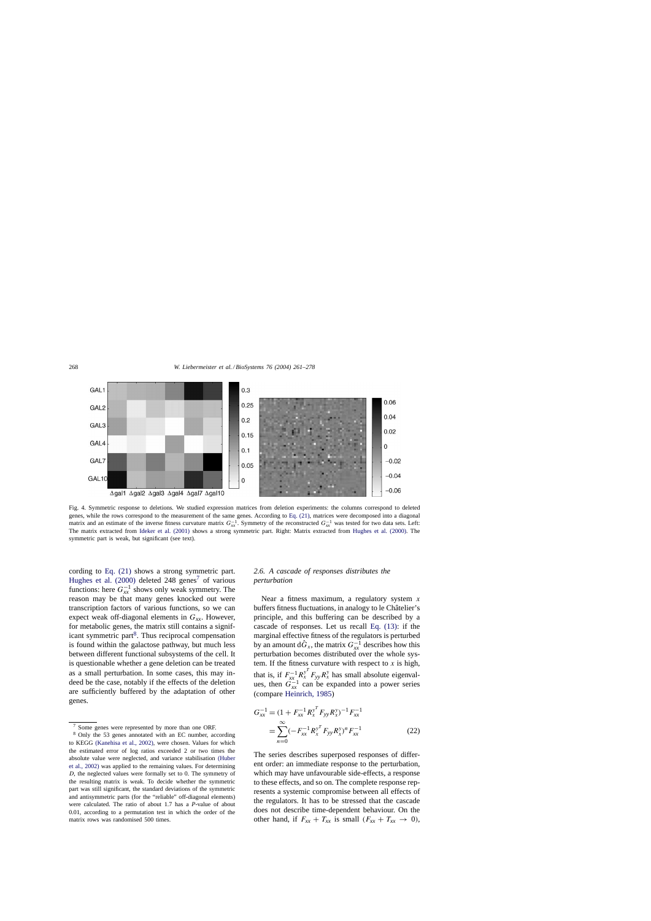<span id="page-7-0"></span>

Fig. 4. Symmetric response to deletions. We studied expression matrices from deletion experiments: the columns correspond to deleted genes, while the rows correspond to the measurement of the same genes. According to [Eq. \(21\), m](#page-6-0)atrices were decomposed into a diagonal matrix and an estimate of the inverse fitness curvature matrix  $G_{xx}^{-1}$ . Symmetry of the reconstructed  $G_{xx}^{-1}$  was tested for two data sets. Left: The matrix extracted from [Ideker et al. \(2001\)](#page-16-0) shows a strong symmetric part. Right: Matrix extracted from [Hughes et al. \(2000\).](#page-16-0) The symmetric part is weak, but significant (see text).

cording to [Eq. \(21\)](#page-6-0) shows a strong symmetric part. [Hughes et al. \(2000\)](#page-16-0) deleted 248 genes<sup>7</sup> of various functions: here  $G_{xx}^{-1}$  shows only weak symmetry. The reason may be that many genes knocked out were transcription factors of various functions, so we can expect weak off-diagonal elements in G*xx*. However, for metabolic genes, the matrix still contains a significant symmetric part $8$ . Thus reciprocal compensation is found within the galactose pathway, but much less between different functional subsystems of the cell. It is questionable whether a gene deletion can be treated as a small perturbation. In some cases, this may indeed be the case, notably if the effects of the deletion are sufficiently buffered by the adaptation of other genes.

# *2.6. A cascade of responses distributes the perturbation*

Near a fitness maximum, a regulatory system  $x$ buffers fitness fluctuations, in analogy to le Châtelier's principle, and this buffering can be described by a cascade of responses. Let us recall [Eq. \(13\):](#page-4-0) if the marginal effective fitness of the regulators is perturbed by an amount  $d\hat{G}_x$ , the matrix  $G_{xx}^{-1}$  describes how this perturbation becomes distributed over the whole system. If the fitness curvature with respect to  $x$  is high, that is, if  $F_{xx}^{-1}R_x^{y^T}F_{yy}R_x^y$  has small absolute eigenvalues, then  $G_{xx}^{-1}$  can be expanded into a power series (compare [Heinrich, 1985\)](#page-16-0)

$$
G_{xx}^{-1} = (1 + F_{xx}^{-1} R_x^{y^T} F_{yy} R_x^{y})^{-1} F_{xx}^{-1}
$$
  
= 
$$
\sum_{n=0}^{\infty} (-F_{xx}^{-1} R_x^{y^T} F_{yy} R_x^{y})^n F_{xx}^{-1}
$$
 (22)

The series describes superposed responses of different order: an immediate response to the perturbation, which may have unfavourable side-effects, a response to these effects, and so on. The complete response represents a systemic compromise between all effects of the regulators. It has to be stressed that the cascade does not describe time-dependent behaviour. On the other hand, if  $F_{xx} + T_{xx}$  is small  $(F_{xx} + T_{xx} \rightarrow 0)$ ,

<sup>7</sup> Some genes were represented by more than one ORF.

<sup>8</sup> Only the 53 genes annotated with an EC number, according to KEGG [\(Kanehisa et al., 2002\), w](#page-16-0)ere chosen. Values for which the estimated error of log ratios exceeded 2 or two times the absolute value were neglected, and variance stabilisation [\(Huber](#page-16-0) [et al., 2002\)](#page-16-0) was applied to the remaining values. For determining D, the neglected values were formally set to 0. The symmetry of the resulting matrix is weak. To decide whether the symmetric part was still significant, the standard deviations of the symmetric and antisymmetric parts (for the "reliable" off-diagonal elements) were calculated. The ratio of about 1.7 has a *P*-value of about 0.01, according to a permutation test in which the order of the matrix rows was randomised 500 times.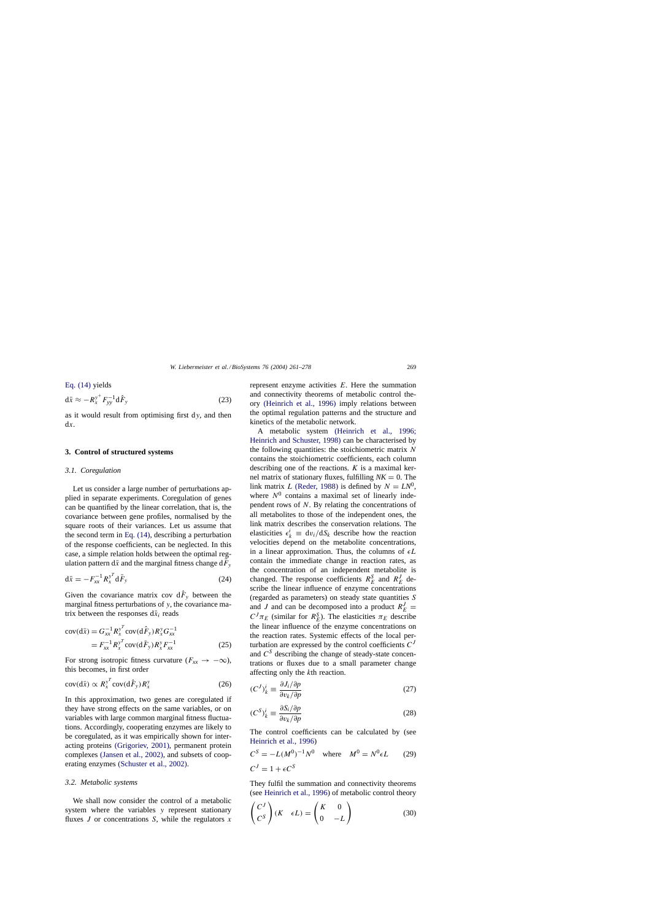<span id="page-8-0"></span>[Eq. \(14\)](#page-5-0) yields

$$
\mathrm{d}\bar{x} \approx -R_x^{\mathrm{y}^+} F_{\mathrm{yy}}^{-1} \mathrm{d}\hat{F}_{\mathrm{y}}
$$
 (23)

as it would result from optimising first dy, and then dx.

### **3. Control of structured systems**

## *3.1. Coregulation*

Let us consider a large number of perturbations applied in separate experiments. Coregulation of genes can be quantified by the linear correlation, that is, the covariance between gene profiles, normalised by the square roots of their variances. Let us assume that the second term in [Eq. \(14\),](#page-5-0) describing a perturbation of the response coefficients, can be neglected. In this case, a simple relation holds between the optimal regulation pattern d $\bar{x}$  and the marginal fitness change d $\bar{F}_y$ 

$$
\mathrm{d}\bar{x} = -F_{xx}^{-1} R_x^{y^T} \mathrm{d}\bar{F}_y \tag{24}
$$

Given the covariance matrix cov  $d\hat{F}_y$  between the marginal fitness perturbations of y, the covariance matrix between the responses  $d\bar{x}_i$  reads

$$
cov(d\bar{x}) = G_{xx}^{-1} R_x^{y^T} cov(d\hat{F}_y) R_x^{y} G_{xx}^{-1}
$$
  
=  $F_{xx}^{-1} R_x^{y^T} cov(d\bar{F}_y) R_x^{y} F_{xx}^{-1}$  (25)

For strong isotropic fitness curvature ( $F_{xx} \rightarrow -\infty$ ), this becomes, in first order

$$
cov(d\bar{x}) \propto R_x^{y^T} cov(d\hat{F}_y) R_x^y
$$
 (26)

In this approximation, two genes are coregulated if they have strong effects on the same variables, or on variables with large common marginal fitness fluctuations. Accordingly, cooperating enzymes are likely to be coregulated, as it was empirically shown for interacting proteins [\(Grigoriev, 2001\),](#page-16-0) permanent protein complexes [\(Jansen et al., 2002\),](#page-16-0) and subsets of cooperating enzymes [\(Schuster et al., 2002\).](#page-17-0)

#### *3.2. Metabolic systems*

We shall now consider the control of a metabolic system where the variables y represent stationary fluxes  $J$  or concentrations  $S$ , while the regulators  $x$  represent enzyme activities E. Here the summation and connectivity theorems of metabolic control theory [\(Heinrich et al., 1996\)](#page-16-0) imply relations between the optimal regulation patterns and the structure and kinetics of the metabolic network.

A metabolic system [\(Heinrich et al., 199](#page-16-0)6; [Heinrich and Schuster, 1998\)](#page-16-0) can be characterised by the following quantities: the stoichiometric matrix  $N$ contains the stoichiometric coefficients, each column describing one of the reactions.  $K$  is a maximal kernel matrix of stationary fluxes, fulfilling  $NK = 0$ . The link matrix L [\(Reder, 1988\)](#page-17-0) is defined by  $N = LN^0$ , where  $N^0$  contains a maximal set of linearly independent rows of N. By relating the concentrations of all metabolites to those of the independent ones, the link matrix describes the conservation relations. The elasticities  $\epsilon_k^i \equiv dv_i/dS_k$  describe how the reaction velocities depend on the metabolite concentrations, in a linear approximation. Thus, the columns of  $\epsilon L$ contain the immediate change in reaction rates, as the concentration of an independent metabolite is changed. The response coefficients  $R_E^S$  and  $R_E^J$  describe the linear influence of enzyme concentrations (regarded as parameters) on steady state quantities S and J and can be decomposed into a product  $R_E^J$  =  $C^{J}\pi_{E}$  (similar for  $R_{E}^{S}$ ). The elasticities  $\pi_{E}$  describe the linear influence of the enzyme concentrations on the reaction rates. Systemic effects of the local perturbation are expressed by the control coefficients  $C<sup>J</sup>$ and  $C<sup>S</sup>$  describing the change of steady-state concentrations or fluxes due to a small parameter change affecting only the kth reaction.

$$
(CJ)ki \equiv \frac{\partial J_i / \partial p}{\partial v_k / \partial p}
$$
 (27)

$$
(C^S)^i_k \equiv \frac{\partial S_i/\partial p}{\partial v_k/\partial p} \tag{28}
$$

The control coefficients can be calculated by (see [Heinrich et al., 1996\)](#page-16-0)

$$
CS = -L(M0)-1N0 where M0 = N0 \epsilon L
$$
 (29)  

$$
CJ = 1 + \epsilon CS
$$

They fulfil the summation and connectivity theorems (see [Heinrich et al., 1996\) o](#page-16-0)f metabolic control theory

$$
\begin{pmatrix} C^J \\ C^S \end{pmatrix} (K \quad \epsilon L) = \begin{pmatrix} K & 0 \\ 0 & -L \end{pmatrix}
$$
 (30)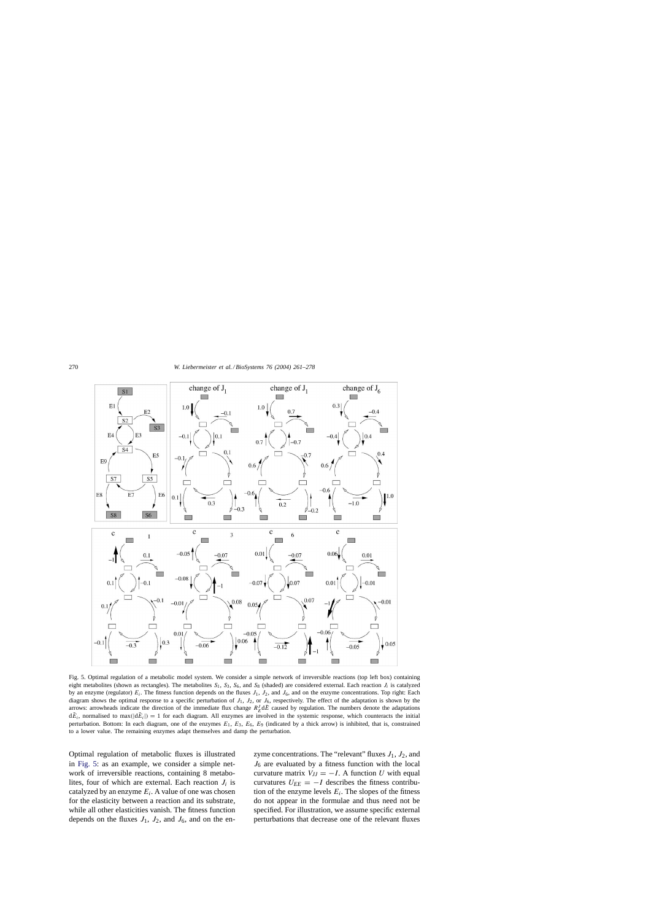

Fig. 5. Optimal regulation of a metabolic model system. We consider a simple network of irreversible reactions (top left box) containing eight metabolites (shown as rectangles). The metabolites  $S_1$ ,  $S_3$ ,  $S_6$ , and  $S_8$  (shaded) are considered external. Each reaction  $J_i$  is catalyzed by an enzyme (regulator)  $E_i$ . The fitness function depends on the fluxes  $J_1$ ,  $J_2$ , and  $J_6$ , and on the enzyme concentrations. Top right: Each diagram shows the optimal response to a specific perturbation of  $J_1$ ,  $J_2$ , or  $J_6$ , respectively. The effect of the adaptation is shown by the arrows: arrowheads indicate the direction of the immediate flux change  $R_E^J dE$  caused by regulation. The numbers denote the adaptations  $d\bar{E}_i$ , normalised to max( $|d\bar{E}_i|$ ) = 1 for each diagram. All enzymes are involved in the systemic response, which counteracts the initial perturbation. Bottom: In each diagram, one of the enzymes  $E_1$ ,  $E_3$ ,  $E_6$ ,  $E_9$  (indicated by a thick arrow) is inhibited, that is, constrained to a lower value. The remaining enzymes adapt themselves and damp the perturbation.

Optimal regulation of metabolic fluxes is illustrated in Fig. 5: as an example, we consider a simple network of irreversible reactions, containing 8 metabolites, four of which are external. Each reaction  $J_i$  is catalyzed by an enzyme  $E_i$ . A value of one was chosen for the elasticity between a reaction and its substrate, while all other elasticities vanish. The fitness function depends on the fluxes  $J_1$ ,  $J_2$ , and  $J_6$ , and on the enzyme concentrations. The "relevant" fluxes  $J_1$ ,  $J_2$ , and  $J_6$  are evaluated by a fitness function with the local curvature matrix  $V_{JJ} = -I$ . A function U with equal curvatures  $U_{EE} = -I$  describes the fitness contribution of the enzyme levels  $E_i$ . The slopes of the fitness do not appear in the formulae and thus need not be specified. For illustration, we assume specific external perturbations that decrease one of the relevant fluxes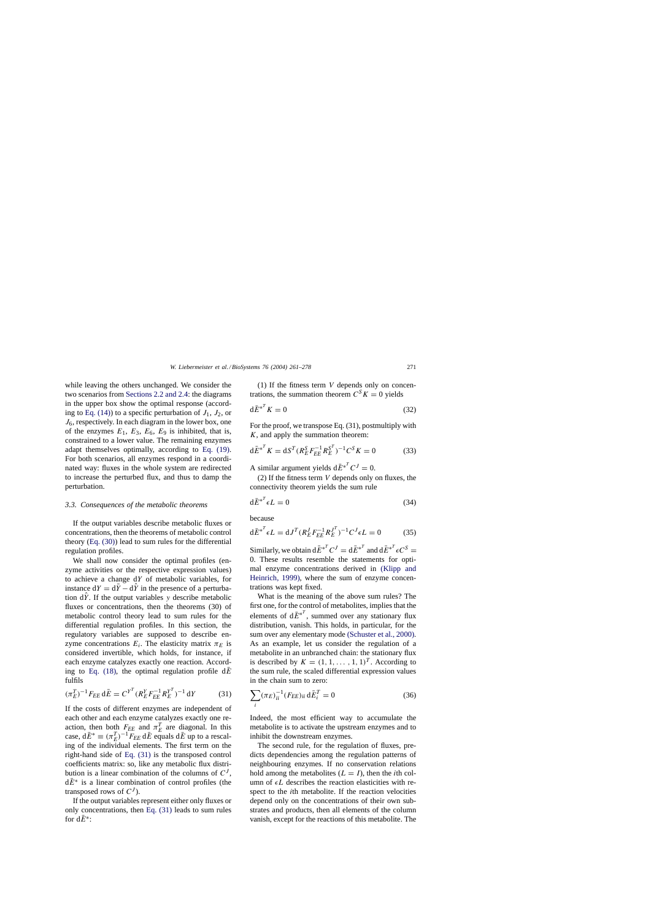<span id="page-10-0"></span>while leaving the others unchanged. We consider the two scenarios from [Sections 2.2 and 2.4: t](#page-4-0)he diagrams in the upper box show the optimal response (accord-ing to [Eq. \(14\)\)](#page-5-0) to a specific perturbation of  $J_1$ ,  $J_2$ , or  $J_6$ , respectively. In each diagram in the lower box, one of the enzymes  $E_1$ ,  $E_3$ ,  $E_6$ ,  $E_9$  is inhibited, that is, constrained to a lower value. The remaining enzymes adapt themselves optimally, according to [Eq. \(19\).](#page-6-0) For both scenarios, all enzymes respond in a coordinated way: fluxes in the whole system are redirected to increase the perturbed flux, and thus to damp the perturbation.

#### *3.3. Consequences of the metabolic theorems*

If the output variables describe metabolic fluxes or concentrations, then the theorems of metabolic control theory ([Eq. \(30\)\)](#page-8-0) lead to sum rules for the differential regulation profiles.

We shall now consider the optimal profiles (enzyme activities or the respective expression values) to achieve a change dY of metabolic variables, for instance  $dY = d\bar{Y} - d\hat{Y}$  in the presence of a perturbation  $d\hat{Y}$ . If the output variables y describe metabolic fluxes or concentrations, then the theorems (30) of metabolic control theory lead to sum rules for the differential regulation profiles. In this section, the regulatory variables are supposed to describe enzyme concentrations  $E_i$ . The elasticity matrix  $\pi_F$  is considered invertible, which holds, for instance, if each enzyme catalyzes exactly one reaction. Accord-ing to [Eq. \(18\),](#page-5-0) the optimal regulation profile  $dE$ fulfils

$$
(\pi_E^T)^{-1} F_{EE} d\bar{E} = C^{Y^T} (R_E^Y F_{EE}^{-1} R_E^{Y^T})^{-1} dY \tag{31}
$$

If the costs of different enzymes are independent of each other and each enzyme catalyzes exactly one reaction, then both  $F_{EE}$  and  $\pi_E^T$  are diagonal. In this case,  $d\bar{E}^* \equiv (\pi_E^T)^{-1} F_{EE} d\bar{E}$  equals  $d\bar{E}$  up to a rescaling of the individual elements. The first term on the right-hand side of Eq. (31) is the transposed control coefficients matrix: so, like any metabolic flux distribution is a linear combination of the columns of  $C<sup>J</sup>$ ,  $dE^*$  is a linear combination of control profiles (the transposed rows of  $C^{J}$ ).

If the output variables represent either only fluxes or only concentrations, then Eq. (31) leads to sum rules for  $d\bar{E}^*$ :

(1) If the fitness term V depends only on concentrations, the summation theorem  $C^{S} K = 0$  yields

$$
d\bar{E}^{*^T}K = 0\tag{32}
$$

For the proof, we transpose Eq. (31), postmultiply with  $K$ , and apply the summation theorem:

$$
d\bar{E}^{*^T} K = dS^T (R_E^S F_{EE}^{-1} R_E^{S^T})^{-1} C^S K = 0
$$
 (33)

A similar argument yields  $d\overline{E}^{*T}C^{J} = 0$ .

(2) If the fitness term  $V$  depends only on fluxes, the connectivity theorem yields the sum rule

$$
d\bar{E}^{*^T}\epsilon L = 0\tag{34}
$$

because

$$
d\bar{E}^{*^T} \epsilon L = dJ^T (R_E^J F_{EE}^{-1} R_E^{J^T})^{-1} C^J \epsilon L = 0 \tag{35}
$$

Similarly, we obtain  $d\bar{E}^{*T}C^J = d\bar{E}^{*T}$  and  $d\bar{E}^{*T}\epsilon C^S =$ 0. These results resemble the statements for optimal enzyme concentrations derived in [\(Klipp and](#page-16-0) [Heinrich, 1999\),](#page-16-0) where the sum of enzyme concentrations was kept fixed.

What is the meaning of the above sum rules? The first one, for the control of metabolites, implies that the elements of  $dE^{*^T}$ , summed over any stationary flux distribution, vanish. This holds, in particular, for the sum over any elementary mode [\(Schuster et al., 2000\).](#page-17-0) As an example, let us consider the regulation of a metabolite in an unbranched chain: the stationary flux is described by  $K = (1, 1, \ldots, 1, 1)^T$ . According to the sum rule, the scaled differential expression values in the chain sum to zero:

$$
\sum_{i} (\pi_E)^{-1}_{ii} (F_{EE})_{ii} d\bar{E}_i^T = 0
$$
\n(36)

Indeed, the most efficient way to accumulate the metabolite is to activate the upstream enzymes and to inhibit the downstream enzymes.

The second rule, for the regulation of fluxes, predicts dependencies among the regulation patterns of neighbouring enzymes. If no conservation relations hold among the metabolites  $(L = I)$ , then the *i*th column of  $\epsilon L$  describes the reaction elasticities with respect to the ith metabolite. If the reaction velocities depend only on the concentrations of their own substrates and products, then all elements of the column vanish, except for the reactions of this metabolite. The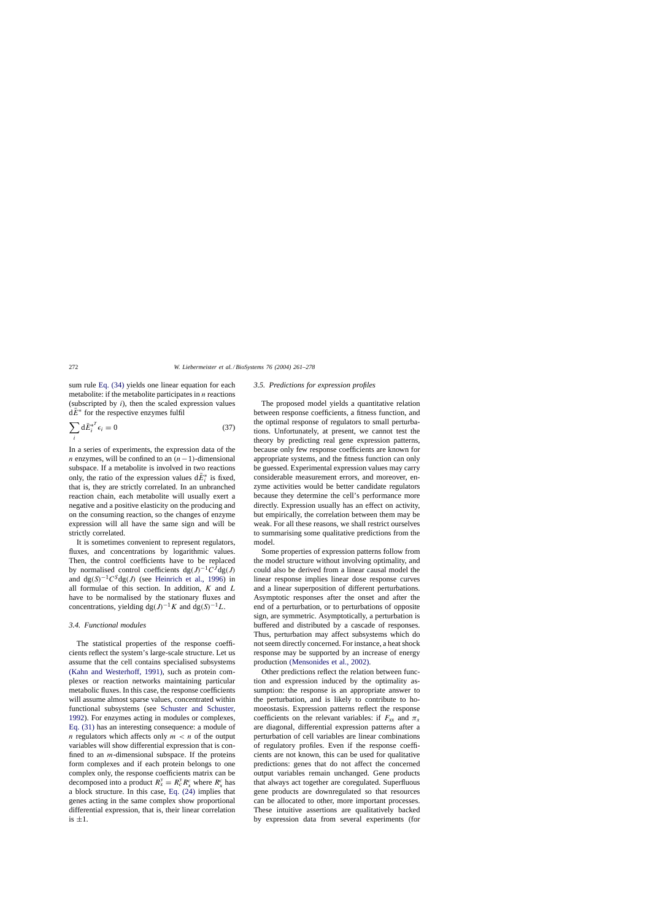sum rule [Eq. \(34\)](#page-10-0) yields one linear equation for each metabolite: if the metabolite participates in  $n$  reactions (subscripted by  $i$ ), then the scaled expression values  $dE^*$  for the respective enzymes fulfil

$$
\sum_{i} d\bar{E}_{i}^{*T} \epsilon_{i} = 0 \tag{37}
$$

In a series of experiments, the expression data of the *n* enzymes, will be confined to an  $(n-1)$ -dimensional subspace. If a metabolite is involved in two reactions only, the ratio of the expression values  $dE_i^*$  is fixed, that is, they are strictly correlated. In an unbranched reaction chain, each metabolite will usually exert a negative and a positive elasticity on the producing and on the consuming reaction, so the changes of enzyme expression will all have the same sign and will be strictly correlated.

It is sometimes convenient to represent regulators, fluxes, and concentrations by logarithmic values. Then, the control coefficients have to be replaced by normalised control coefficients dg( $J$ )<sup>-1</sup>C<sup>J</sup> dg(J) and dg(S)<sup>-1</sup>C<sup>S</sup>dg(J) (see [Heinrich et al., 1996\)](#page-16-0) in all formulae of this section. In addition,  $K$  and  $L$ have to be normalised by the stationary fluxes and concentrations, yielding dg( $J$ )<sup>-1</sup>K and dg(S)<sup>-1</sup>L.

## *3.4. Functional modules*

The statistical properties of the response coefficients reflect the system's large-scale structure. Let us assume that the cell contains specialised subsystems [\(Kahn and Westerhoff, 1991\),](#page-16-0) such as protein complexes or reaction networks maintaining particular metabolic fluxes. In this case, the response coefficients will assume almost sparse values, concentrated within functional subsystems (see [Schuster and Schuster,](#page-17-0) [1992\).](#page-17-0) For enzymes acting in modules or complexes, [Eq. \(31\)](#page-10-0) has an interesting consequence: a module of *n* regulators which affects only  $m < n$  of the output variables will show differential expression that is confined to an  $m$ -dimensional subspace. If the proteins form complexes and if each protein belongs to one complex only, the response coefficients matrix can be decomposed into a product  $R_x^y = R_c^y R_x^c$  where  $R_x^c$  has a block structure. In this case, [Eq. \(24\)](#page-8-0) implies that genes acting in the same complex show proportional differential expression, that is, their linear correlation is  $\pm 1$ .

# *3.5. Predictions for expression profiles*

The proposed model yields a quantitative relation between response coefficients, a fitness function, and the optimal response of regulators to small perturbations. Unfortunately, at present, we cannot test the theory by predicting real gene expression patterns, because only few response coefficients are known for appropriate systems, and the fitness function can only be guessed. Experimental expression values may carry considerable measurement errors, and moreover, enzyme activities would be better candidate regulators because they determine the cell's performance more directly. Expression usually has an effect on activity, but empirically, the correlation between them may be weak. For all these reasons, we shall restrict ourselves to summarising some qualitative predictions from the model.

Some properties of expression patterns follow from the model structure without involving optimality, and could also be derived from a linear causal model the linear response implies linear dose response curves and a linear superposition of different perturbations. Asymptotic responses after the onset and after the end of a perturbation, or to perturbations of opposite sign, are symmetric. Asymptotically, a perturbation is buffered and distributed by a cascade of responses. Thus, perturbation may affect subsystems which do not seem directly concerned. For instance, a heat shock response may be supported by an increase of energy production [\(Mensonides et al., 2002\).](#page-17-0)

Other predictions reflect the relation between function and expression induced by the optimality assumption: the response is an appropriate answer to the perturbation, and is likely to contribute to homoeostasis. Expression patterns reflect the response coefficients on the relevant variables: if  $F_{xx}$  and  $\pi_x$ are diagonal, differential expression patterns after a perturbation of cell variables are linear combinations of regulatory profiles. Even if the response coefficients are not known, this can be used for qualitative predictions: genes that do not affect the concerned output variables remain unchanged. Gene products that always act together are coregulated. Superfluous gene products are downregulated so that resources can be allocated to other, more important processes. These intuitive assertions are qualitatively backed by expression data from several experiments (for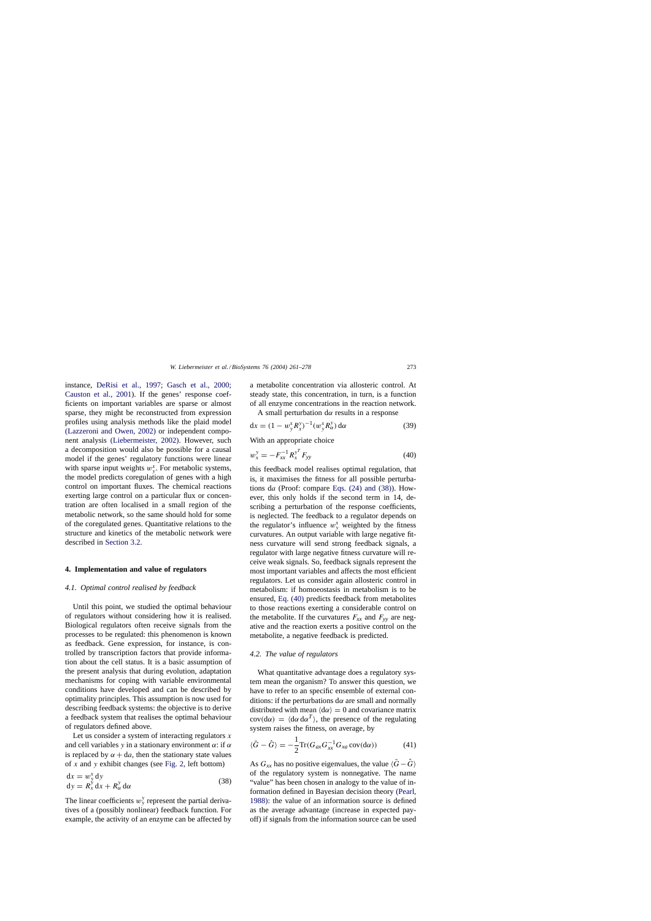<span id="page-12-0"></span>instance, [DeRisi et al., 1997; Gasch et al., 200](#page-16-0)0; [Causton et al., 2001](#page-16-0)). If the genes' response coefficients on important variables are sparse or almost sparse, they might be reconstructed from expression profiles using analysis methods like the plaid model [\(Lazzeroni and Owen, 2002\)](#page-16-0) or independent component analysis [\(Liebermeister, 2002\).](#page-16-0) However, such a decomposition would also be possible for a causal model if the genes' regulatory functions were linear with sparse input weights  $w_y^x$ . For metabolic systems, the model predicts coregulation of genes with a high control on important fluxes. The chemical reactions exerting large control on a particular flux or concentration are often localised in a small region of the metabolic network, so the same should hold for some of the coregulated genes. Quantitative relations to the structure and kinetics of the metabolic network were described in [Section 3.2.](#page-8-0)

# **4. Implementation and value of regulators**

# *4.1. Optimal control realised by feedback*

Until this point, we studied the optimal behaviour of regulators without considering how it is realised. Biological regulators often receive signals from the processes to be regulated: this phenomenon is known as feedback. Gene expression, for instance, is controlled by transcription factors that provide information about the cell status. It is a basic assumption of the present analysis that during evolution, adaptation mechanisms for coping with variable environmental conditions have developed and can be described by optimality principles. This assumption is now used for describing feedback systems: the objective is to derive a feedback system that realises the optimal behaviour of regulators defined above.

Let us consider a system of interacting regulators  $x$ and cell variables y in a stationary environment  $\alpha$ : if  $\alpha$ is replaced by  $\alpha + da$ , then the stationary state values of x and y exhibit changes (see [Fig. 2,](#page-4-0) left bottom)

$$
dx = w_y^x dy
$$
  
 
$$
dy = R_x^y dx + R_\alpha^y d\alpha
$$
 (38)

The linear coefficients  $w_y^y$  represent the partial derivatives of a (possibly nonlinear) feedback function. For example, the activity of an enzyme can be affected by a metabolite concentration via allosteric control. At steady state, this concentration, in turn, is a function of all enzyme concentrations in the reaction network.

A small perturbation dα results in a response

$$
dx = (1 - w_y^x R_x^y)^{-1} (w_y^x R_\alpha^y) d\alpha
$$
 (39)

With an appropriate choice

$$
w_x^y = -F_{xx}^{-1} R_x^{y^T} F_{yy}
$$
 (40)

this feedback model realises optimal regulation, that is, it maximises the fitness for all possible perturbations da (Proof: compare [Eqs. \(24\) and \(38\)\)](#page-8-0). However, this only holds if the second term in 14, describing a perturbation of the response coefficients, is neglected. The feedback to a regulator depends on the regulator's influence  $w_y^x$  weighted by the fitness curvatures. An output variable with large negative fitness curvature will send strong feedback signals, a regulator with large negative fitness curvature will receive weak signals. So, feedback signals represent the most important variables and affects the most efficient regulators. Let us consider again allosteric control in metabolism: if homoeostasis in metabolism is to be ensured, Eq. (40) predicts feedback from metabolites to those reactions exerting a considerable control on the metabolite. If the curvatures  $F_{xx}$  and  $F_{yy}$  are negative and the reaction exerts a positive control on the metabolite, a negative feedback is predicted.

## *4.2. The value of regulators*

What quantitative advantage does a regulatory system mean the organism? To answer this question, we have to refer to an specific ensemble of external conditions: if the perturbations d $\alpha$  are small and normally distributed with mean  $\langle d\alpha \rangle = 0$  and covariance matrix cov(d $\alpha$ ) =  $\langle d\alpha d\alpha^T \rangle$ , the presence of the regulating system raises the fitness, on average, by

$$
\langle \bar{G} - \hat{G} \rangle = -\frac{1}{2} \text{Tr}(G_{ax} G_{xx}^{-1} G_{xa} \text{cov}(d\alpha)) \tag{41}
$$

As  $G_{xx}$  has no positive eigenvalues, the value  $\langle \bar{G} - \hat{G} \rangle$ of the regulatory system is nonnegative. The name "value" has been chosen in analogy to the value of information defined in Bayesian decision theory [\(Pearl,](#page-17-0) [1988\):](#page-17-0) the value of an information source is defined as the average advantage (increase in expected payoff) if signals from the information source can be used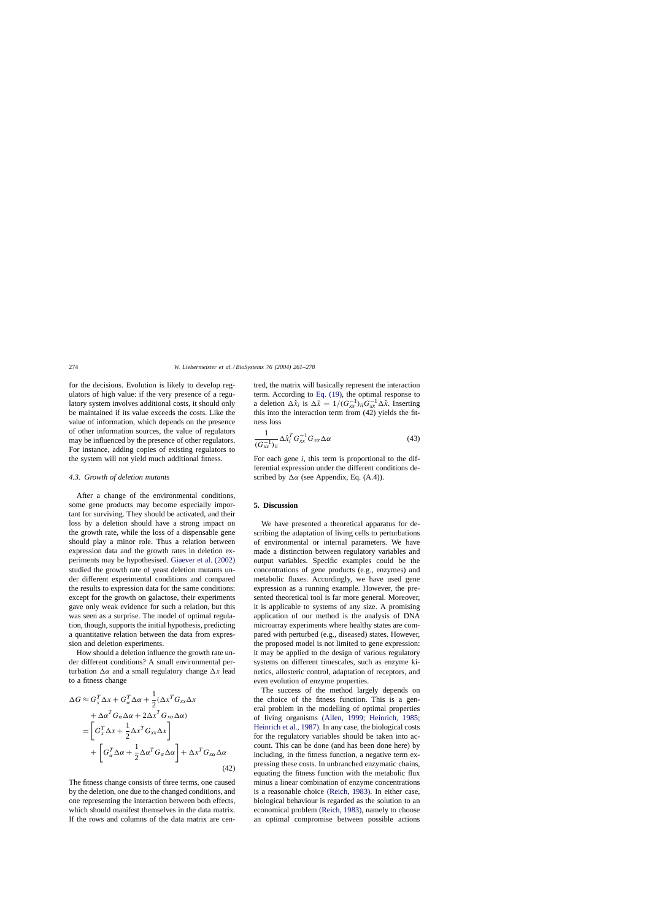<span id="page-13-0"></span>for the decisions. Evolution is likely to develop regulators of high value: if the very presence of a regulatory system involves additional costs, it should only be maintained if its value exceeds the costs. Like the value of information, which depends on the presence of other information sources, the value of regulators may be influenced by the presence of other regulators. For instance, adding copies of existing regulators to the system will not yield much additional fitness.

## *4.3. Growth of deletion mutants*

After a change of the environmental conditions, some gene products may become especially important for surviving. They should be activated, and their loss by a deletion should have a strong impact on the growth rate, while the loss of a dispensable gene should play a minor role. Thus a relation between expression data and the growth rates in deletion experiments may be hypothesised. [Giaever et al. \(2002\)](#page-16-0) studied the growth rate of yeast deletion mutants under different experimental conditions and compared the results to expression data for the same conditions: except for the growth on galactose, their experiments gave only weak evidence for such a relation, but this was seen as a surprise. The model of optimal regulation, though, supports the initial hypothesis, predicting a quantitative relation between the data from expression and deletion experiments.

How should a deletion influence the growth rate under different conditions? A small environmental perturbation  $\Delta \alpha$  and a small regulatory change  $\Delta x$  lead to a fitness change

$$
\Delta G \approx G_x^T \Delta x + G_\alpha^T \Delta \alpha + \frac{1}{2} (\Delta x^T G_{xx} \Delta x \n+ \Delta \alpha^T G_\alpha \Delta \alpha + 2 \Delta x^T G_{xx} \Delta \alpha) \n= \left[ G_x^T \Delta x + \frac{1}{2} \Delta x^T G_{xx} \Delta x \right] \n+ \left[ G_\alpha^T \Delta \alpha + \frac{1}{2} \Delta \alpha^T G_\alpha \Delta \alpha \right] + \Delta x^T G_{xx} \Delta \alpha
$$
\n(42)

The fitness change consists of three terms, one caused by the deletion, one due to the changed conditions, and one representing the interaction between both effects, which should manifest themselves in the data matrix. If the rows and columns of the data matrix are centred, the matrix will basically represent the interaction term. According to [Eq. \(19\),](#page-6-0) the optimal response to a deletion  $\Delta \hat{x}_i$  is  $\Delta \bar{x} = 1/(G_{xx}^{-1})_{ii} G_{xx}^{-1} \Delta \hat{x}$ . Inserting this into the interaction term from  $(42)$  yields the fitness loss

$$
\frac{1}{(G_{xx}^{-1})_{ii}} \Delta \hat{x}_i^T G_{xx}^{-1} G_{x\alpha} \Delta \alpha \tag{43}
$$

For each gene  $i$ , this term is proportional to the differential expression under the different conditions described by  $\Delta \alpha$  (see Appendix, Eq. (A.4)).

# **5. Discussion**

We have presented a theoretical apparatus for describing the adaptation of living cells to perturbations of environmental or internal parameters. We have made a distinction between regulatory variables and output variables. Specific examples could be the concentrations of gene products (e.g., enzymes) and metabolic fluxes. Accordingly, we have used gene expression as a running example. However, the presented theoretical tool is far more general. Moreover, it is applicable to systems of any size. A promising application of our method is the analysis of DNA microarray experiments where healthy states are compared with perturbed (e.g., diseased) states. However, the proposed model is not limited to gene expression: it may be applied to the design of various regulatory systems on different timescales, such as enzyme kinetics, allosteric control, adaptation of receptors, and even evolution of enzyme properties.

The success of the method largely depends on the choice of the fitness function. This is a general problem in the modelling of optimal properties of living organisms [\(Allen, 1999; Heinrich, 1985;](#page-16-0) [Heinrich et al., 1987\). I](#page-16-0)n any case, the biological costs for the regulatory variables should be taken into account. This can be done (and has been done here) by including, in the fitness function, a negative term expressing these costs. In unbranched enzymatic chains, equating the fitness function with the metabolic flux minus a linear combination of enzyme concentrations is a reasonable choice [\(Reich, 1983\).](#page-17-0) In either case, biological behaviour is regarded as the solution to an economical problem [\(Reich, 1983\),](#page-17-0) namely to choose an optimal compromise between possible actions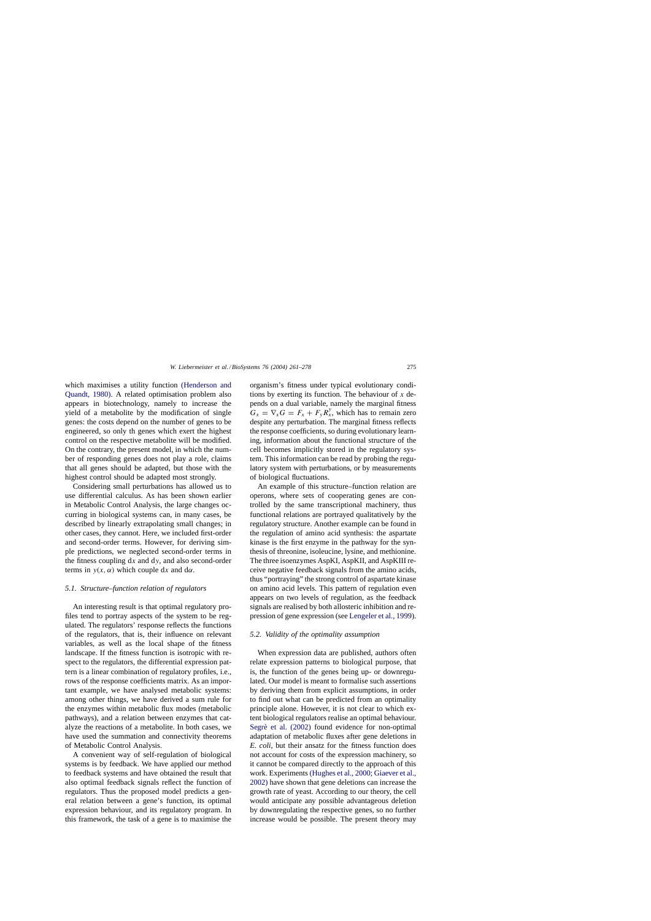which maximises a utility function [\(Henderson and](#page-16-0) [Quandt, 1980\).](#page-16-0) A related optimisation problem also appears in biotechnology, namely to increase the yield of a metabolite by the modification of single genes: the costs depend on the number of genes to be engineered, so only th genes which exert the highest control on the respective metabolite will be modified. On the contrary, the present model, in which the number of responding genes does not play a role, claims that all genes should be adapted, but those with the highest control should be adapted most strongly.

Considering small perturbations has allowed us to use differential calculus. As has been shown earlier in Metabolic Control Analysis, the large changes occurring in biological systems can, in many cases, be described by linearly extrapolating small changes; in other cases, they cannot. Here, we included first-order and second-order terms. However, for deriving simple predictions, we neglected second-order terms in the fitness coupling  $dx$  and  $dy$ , and also second-order terms in  $y(x, \alpha)$  which couple dx and d $\alpha$ .

# *5.1. Structure–function relation of regulators*

An interesting result is that optimal regulatory profiles tend to portray aspects of the system to be regulated. The regulators' response reflects the functions of the regulators, that is, their influence on relevant variables, as well as the local shape of the fitness landscape. If the fitness function is isotropic with respect to the regulators, the differential expression pattern is a linear combination of regulatory profiles, i.e., rows of the response coefficients matrix. As an important example, we have analysed metabolic systems: among other things, we have derived a sum rule for the enzymes within metabolic flux modes (metabolic pathways), and a relation between enzymes that catalyze the reactions of a metabolite. In both cases, we have used the summation and connectivity theorems of Metabolic Control Analysis.

A convenient way of self-regulation of biological systems is by feedback. We have applied our method to feedback systems and have obtained the result that also optimal feedback signals reflect the function of regulators. Thus the proposed model predicts a general relation between a gene's function, its optimal expression behaviour, and its regulatory program. In this framework, the task of a gene is to maximise the

organism's fitness under typical evolutionary conditions by exerting its function. The behaviour of  $x$  depends on a dual variable, namely the marginal fitness  $G_x = \nabla_x G = F_x + F_y R_x^y$ , which has to remain zero despite any perturbation. The marginal fitness reflects the response coefficients, so during evolutionary learning, information about the functional structure of the cell becomes implicitly stored in the regulatory system. This information can be read by probing the regulatory system with perturbations, or by measurements of biological fluctuations.

An example of this structure–function relation are operons, where sets of cooperating genes are controlled by the same transcriptional machinery, thus functional relations are portrayed qualitatively by the regulatory structure. Another example can be found in the regulation of amino acid synthesis: the aspartate kinase is the first enzyme in the pathway for the synthesis of threonine, isoleucine, lysine, and methionine. The three isoenzymes AspKI, AspKII, and AspKIII receive negative feedback signals from the amino acids, thus "portraying" the strong control of aspartate kinase on amino acid levels. This pattern of regulation even appears on two levels of regulation, as the feedback signals are realised by both allosteric inhibition and repression of gene expression (see [Lengeler et al., 1999\).](#page-16-0)

# *5.2. Validity of the optimality assumption*

When expression data are published, authors often relate expression patterns to biological purpose, that is, the function of the genes being up- or downregulated. Our model is meant to formalise such assertions by deriving them from explicit assumptions, in order to find out what can be predicted from an optimality principle alone. However, it is not clear to which extent biological regulators realise an optimal behaviour. [Segrè et al. \(2002\)](#page-17-0) found evidence for non-optimal adaptation of metabolic fluxes after gene deletions in *E. coli*, but their ansatz for the fitness function does not account for costs of the expression machinery, so it cannot be compared directly to the approach of this work. Experiments [\(Hughes et al., 2000; Giaever et al.,](#page-16-0) [2002\)](#page-16-0) have shown that gene deletions can increase the growth rate of yeast. According to our theory, the cell would anticipate any possible advantageous deletion by downregulating the respective genes, so no further increase would be possible. The present theory may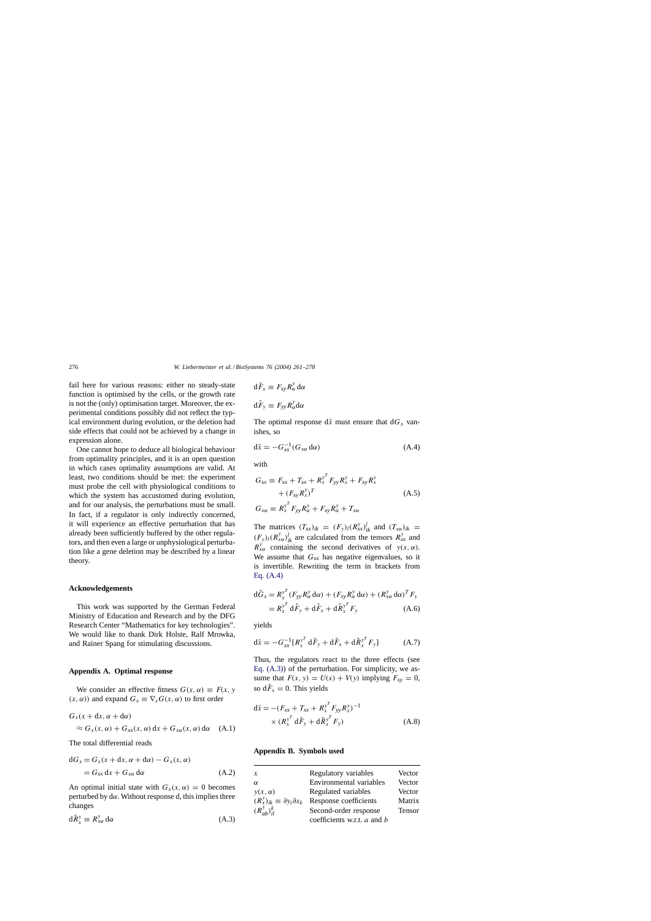<span id="page-15-0"></span>fail here for various reasons: either no steady-state function is optimised by the cells, or the growth rate is not the (only) optimisation target. Moreover, the experimental conditions possibly did not reflect the typical environment during evolution, or the deletion had side effects that could not be achieved by a change in expression alone.

One cannot hope to deduce all biological behaviour from optimality principles, and it is an open question in which cases optimality assumptions are valid. At least, two conditions should be met: the experiment must probe the cell with physiological conditions to which the system has accustomed during evolution, and for our analysis, the perturbations must be small. In fact, if a regulator is only indirectly concerned, it will experience an effective perturbation that has already been sufficiently buffered by the other regulators, and then even a large or unphysiological perturbation like a gene deletion may be described by a linear theory.

#### **Acknowledgements**

This work was supported by the German Federal Ministry of Education and Research and by the DFG Research Center "Mathematics for key technologies". We would like to thank Dirk Holste, Ralf Mrowka, and Rainer Spang for stimulating discussions.

## **Appendix A. Optimal response**

We consider an effective fitness  $G(x, \alpha) \equiv F(x, y)$  $(x, \alpha)$  and expand  $G_x \equiv \nabla_x G(x, \alpha)$  to first order

$$
G_x(x + dx, \alpha + d\alpha)
$$
  
\n
$$
\approx G_x(x, \alpha) + G_{xx}(x, \alpha) dx + G_{xx}(x, \alpha) d\alpha
$$
 (A.1)

The total differential reads

$$
dG_x = G_x(x + dx, \alpha + d\alpha) - G_x(x, \alpha)
$$
  
=  $G_{xx} dx + G_{xa} d\alpha$  (A.2)

An optimal initial state with  $G_x(x, \alpha) = 0$  becomes perturbed by  $d\alpha$ . Without response d, this implies three changes

$$
d\hat{R}_x^y \equiv R_{x\alpha}^y d\alpha \tag{A.3}
$$

$$
d\hat{F}_x \equiv F_{xy} R_\alpha^y d\alpha
$$
  

$$
d\hat{F}_y \equiv F_{yy} R_\alpha^y d\alpha
$$

The optimal response  $d\bar{x}$  must ensure that  $dG_x$  vanishes, so

$$
d\bar{x} = -G_{xx}^{-1}(G_{x\alpha} d\alpha)
$$
 (A.4)

with

$$
G_{xx} \equiv F_{xx} + T_{xx} + R_x^{y^T} F_{yy} R_x^y + F_{xy} R_x^y
$$
  
+ 
$$
(F_{xy} R_x^y)^T
$$
  

$$
G_{x\alpha} \equiv R_x^{y^T} F_{yy} R_\alpha^y + F_{xy} R_\alpha^y + T_{x\alpha}
$$
 (A.5)

The matrices  $(T_{xx})_{ik} = (F_y)_l (R_{xx}^y)_{ik}^l$  and  $(T_{xx})_{ik} =$  $(F_y)_l (R_{xx}^y)_k^l$  are calculated from the tensors  $R_{xx}^y$  and  $R_{x\alpha}^y$  containing the second derivatives of  $y(x, \alpha)$ . We assume that  $G_{xx}$  has negative eigenvalues, so it is invertible. Rewriting the term in brackets from Eq. (A.4)

$$
d\hat{G}_x = R_x^{y^T} (F_{yy} R_\alpha^y d\alpha) + (F_{xy} R_\alpha^y d\alpha) + (R_{xx}^y d\alpha)^T F_y
$$
  
=  $R_x^{y^T} d\hat{F}_y + d\hat{F}_x + d\hat{R}_x^{y^T} F_y$  (A.6)

yields

$$
d\bar{x} = -G_{xx}^{-1} [R_x^{y^T} d\hat{F}_y + d\hat{F}_x + d\hat{R}_x^{y^T} F_y]
$$
 (A.7)

Thus, the regulators react to the three effects (see Eq.  $(A.3)$ ) of the perturbation. For simplicity, we assume that  $F(x, y) = U(x) + V(y)$  implying  $F_{xy} = 0$ , so  $d\hat{F}_x = 0$ . This yields

$$
d\bar{x} = -(F_{xx} + T_{xx} + R_x^{y^T} F_{yy} R_x^{y})^{-1}
$$
  
 
$$
\times (R_x^{y^T} d\hat{F}_y + d\hat{R}_x^{y^T} F_y)
$$
 (A.8)

## **Appendix B. Symbols used**

| $\mathcal{X}$                                   | Regulatory variables                      | Vector        |
|-------------------------------------------------|-------------------------------------------|---------------|
| $\alpha$                                        | Environmental variables                   | Vector        |
| $y(x, \alpha)$                                  | Regulated variables                       | Vector        |
| $(R_x^y)_{ik} \equiv \partial y_i \partial x_k$ | Response coefficients                     | Matrix        |
| $(R_{ab}^y)_i^k$                                | Second-order response                     | <b>Tensor</b> |
|                                                 | coefficients w.r.t. <i>a</i> and <i>b</i> |               |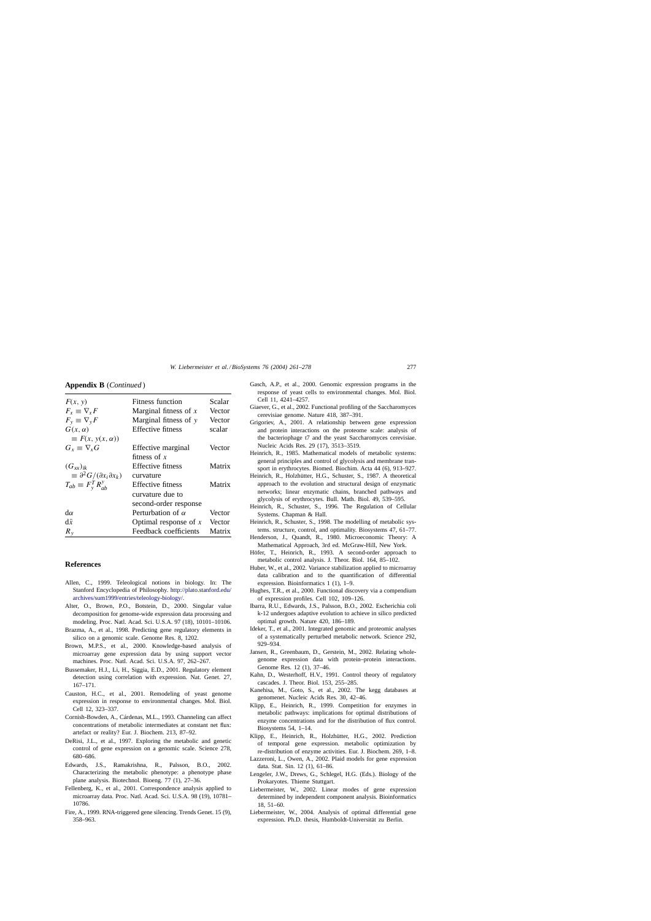| F(x, y)                                           | <b>Fitness function</b>  | Scalar |
|---------------------------------------------------|--------------------------|--------|
| $F_x \equiv \nabla_x F$                           | Marginal fitness of $x$  | Vector |
| $F_v \equiv \nabla_v F$                           | Marginal fitness of $y$  | Vector |
| $G(x, \alpha)$                                    | Effective fitness        | scalar |
| $\equiv F(x, y(x, \alpha))$                       |                          |        |
| $G_r \equiv \nabla_r G$                           | Effective marginal       | Vector |
|                                                   | fitness of $x$           |        |
| $(G_{xx})_{ik}$                                   | Effective fitness        | Matrix |
| $\equiv \partial^2 G/(\partial x_i \partial x_k)$ | curvature                |        |
| $T_{ab} \equiv F_{v}^{T} R_{ab}^{y}$              | <b>Effective fitness</b> | Matrix |
|                                                   | curvature due to         |        |
|                                                   | second-order response    |        |
| $d\alpha$                                         | Perturbation of $\alpha$ | Vector |
| $d\bar{x}$                                        | Optimal response of $x$  | Vector |
| $R_{v}$                                           | Feedback coefficients    | Matrix |

## <span id="page-16-0"></span>**Appendix B** (*Continued* )

## **References**

- Allen, C., 1999. Teleological notions in biology. In: The Stanford Encyclopedia of Philosophy. [http://plato.stanford.edu/](http://plato.stanford.edu/archives/sum1999/entries/teleology-biology/) [archives/sum1999/entries/teleology-biology/.](http://plato.stanford.edu/archives/sum1999/entries/teleology-biology/)
- Alter, O., Brown, P.O., Botstein, D., 2000. Singular value decomposition for genome-wide expression data processing and modeling. Proc. Natl. Acad. Sci. U.S.A. 97 (18), 10101–10106.
- Brazma, A., et al., 1998. Predicting gene regulatory elements in silico on a genomic scale. Genome Res. 8, 1202.
- Brown, M.P.S., et al., 2000. Knowledge-based analysis of microarray gene expression data by using support vector machines. Proc. Natl. Acad. Sci. U.S.A. 97, 262–267.
- Bussemaker, H.J., Li, H., Siggia, E.D., 2001. Regulatory element detection using correlation with expression. Nat. Genet. 27, 167–171.
- Causton, H.C., et al., 2001. Remodeling of yeast genome expression in response to environmental changes. Mol. Biol. Cell 12, 323–337.
- Cornish-Bowden, A., Cárdenas, M.L., 1993. Channeling can affect concentrations of metabolic intermediates at constant net flux: artefact or reality? Eur. J. Biochem. 213, 87–92.
- DeRisi, J.L., et al., 1997. Exploring the metabolic and genetic control of gene expression on a genomic scale. Science 278, 680–686.
- Edwards, J.S., Ramakrishna, R., Palsson, B.O., 2002. Characterizing the metabolic phenotype: a phenotype phase plane analysis. Biotechnol. Bioeng. 77 (1), 27–36.
- Fellenberg, K., et al., 2001. Correspondence analysis applied to microarray data. Proc. Natl. Acad. Sci. U.S.A. 98 (19), 10781– 10786.
- Fire, A., 1999. RNA-triggered gene silencing. Trends Genet. 15 (9), 358–963.
- Gasch, A.P., et al., 2000. Genomic expression programs in the response of yeast cells to environmental changes. Mol. Biol. Cell 11, 4241–4257.
- Giaever, G., et al., 2002. Functional profiling of the Saccharomyces cerevisiae genome. Nature 418, 387–391.
- Grigoriev, A., 2001. A relationship between gene expression and protein interactions on the proteome scale: analysis of the bacteriophage t7 and the yeast Saccharomyces cerevisiae. Nucleic Acids Res. 29 (17), 3513–3519.
- Heinrich, R., 1985. Mathematical models of metabolic systems: general principles and control of glycolysis and membrane transport in erythrocytes. Biomed. Biochim. Acta 44 (6), 913–927.
- Heinrich, R., Holzhütter, H.G., Schuster, S., 1987. A theoretical approach to the evolution and structural design of enzymatic networks; linear enzymatic chains, branched pathways and glycolysis of erythrocytes. Bull. Math. Biol. 49, 539–595.
- Heinrich, R., Schuster, S., 1996. The Regulation of Cellular Systems. Chapman & Hall.
- Heinrich, R., Schuster, S., 1998. The modelling of metabolic systems. structure, control, and optimality. Biosystems 47, 61–77.
- Henderson, J., Quandt, R., 1980. Microeconomic Theory: A Mathematical Approach, 3rd ed. McGraw-Hill, New York.
- Höfer, T., Heinrich, R., 1993. A second-order approach to metabolic control analysis. J. Theor. Biol. 164, 85–102.
- Huber, W., et al., 2002. Variance stabilization applied to microarray data calibration and to the quantification of differential expression. Bioinformatics 1 (1), 1–9.
- Hughes, T.R., et al., 2000. Functional discovery via a compendium of expression profiles. Cell 102, 109–126.
- Ibarra, R.U., Edwards, J.S., Palsson, B.O., 2002. Escherichia coli k-12 undergoes adaptive evolution to achieve in silico predicted optimal growth. Nature 420, 186–189.
- Ideker, T., et al., 2001. Integrated genomic and proteomic analyses of a systematically perturbed metabolic network. Science 292, 929–934.
- Jansen, R., Greenbaum, D., Gerstein, M., 2002. Relating wholegenome expression data with protein–protein interactions. Genome Res. 12 (1), 37–46.
- Kahn, D., Westerhoff, H.V., 1991. Control theory of regulatory cascades. J. Theor. Biol. 153, 255–285.
- Kanehisa, M., Goto, S., et al., 2002. The kegg databases at genomenet. Nucleic Acids Res. 30, 42–46.
- Klipp, E., Heinrich, R., 1999. Competition for enzymes in metabolic pathways: implications for optimal distributions of enzyme concentrations and for the distribution of flux control. Biosystems 54, 1–14.
- Klipp, E., Heinrich, R., Holzhütter, H.G., 2002. Prediction of temporal gene expression. metabolic optimization by re-distribution of enzyme activities. Eur. J. Biochem. 269, 1–8.
- Lazzeroni, L., Owen, A., 2002. Plaid models for gene expression data. Stat. Sin. 12 (1), 61–86.
- Lengeler, J.W., Drews, G., Schlegel, H.G. (Eds.). Biology of the Prokaryotes. Thieme Stuttgart.
- Liebermeister, W., 2002. Linear modes of gene expression determined by independent component analysis. Bioinformatics 18, 51–60.
- Liebermeister, W., 2004. Analysis of optimal differential gene expression. Ph.D. thesis, Humboldt-Universität zu Berlin.